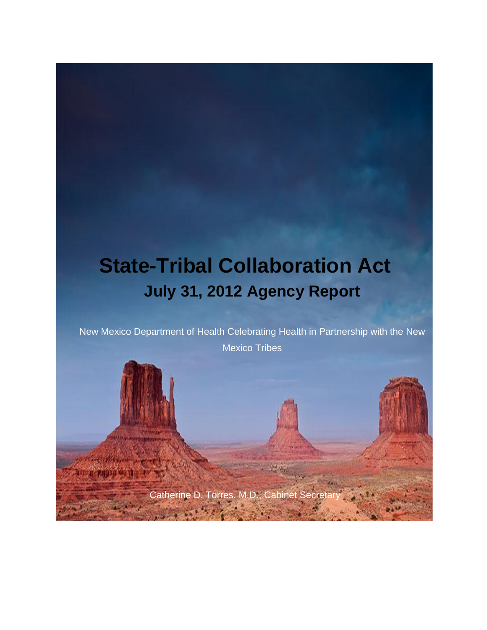# **State-Tribal Collaboration Act July 31, 2012 Agency Report**

New Mexico Department of Health Celebrating Health in Partnership with the New Mexico Tribes

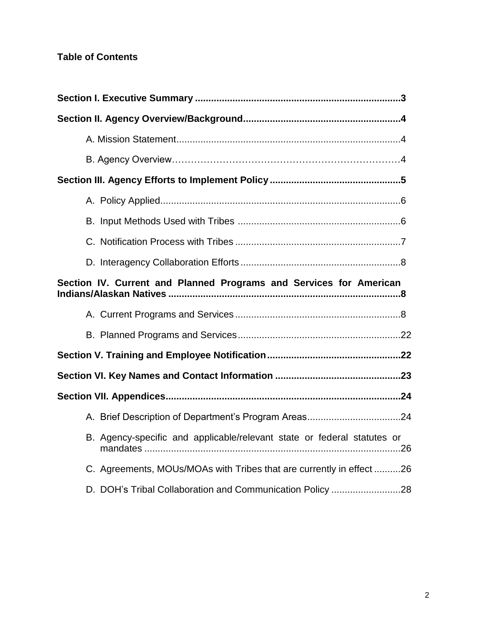# **Table of Contents**

| Section IV. Current and Planned Programs and Services for American      |  |
|-------------------------------------------------------------------------|--|
|                                                                         |  |
|                                                                         |  |
|                                                                         |  |
|                                                                         |  |
|                                                                         |  |
|                                                                         |  |
| B. Agency-specific and applicable/relevant state or federal statutes or |  |
| C. Agreements, MOUs/MOAs with Tribes that are currently in effect 26    |  |
| D. DOH's Tribal Collaboration and Communication Policy 28               |  |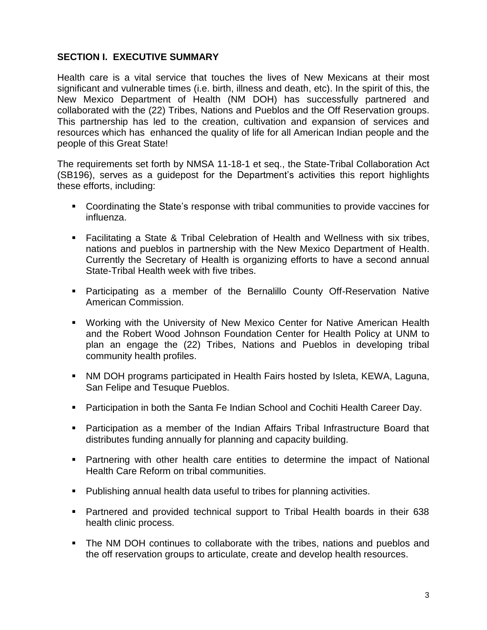# **SECTION I. EXECUTIVE SUMMARY**

Health care is a vital service that touches the lives of New Mexicans at their most significant and vulnerable times (i.e. birth, illness and death, etc). In the spirit of this, the New Mexico Department of Health (NM DOH) has successfully partnered and collaborated with the (22) Tribes, Nations and Pueblos and the Off Reservation groups. This partnership has led to the creation, cultivation and expansion of services and resources which has enhanced the quality of life for all American Indian people and the people of this Great State!

The requirements set forth by NMSA 11-18-1 et seq., the State-Tribal Collaboration Act (SB196), serves as a guidepost for the Department's activities this report highlights these efforts, including:

- Coordinating the State's response with tribal communities to provide vaccines for influenza.
- Facilitating a State & Tribal Celebration of Health and Wellness with six tribes, nations and pueblos in partnership with the New Mexico Department of Health. Currently the Secretary of Health is organizing efforts to have a second annual State-Tribal Health week with five tribes.
- Participating as a member of the Bernalillo County Off-Reservation Native American Commission.
- Working with the University of New Mexico Center for Native American Health and the Robert Wood Johnson Foundation Center for Health Policy at UNM to plan an engage the (22) Tribes, Nations and Pueblos in developing tribal community health profiles.
- NM DOH programs participated in Health Fairs hosted by Isleta, KEWA, Laguna, San Felipe and Tesuque Pueblos.
- Participation in both the Santa Fe Indian School and Cochiti Health Career Day.
- Participation as a member of the Indian Affairs Tribal Infrastructure Board that distributes funding annually for planning and capacity building.
- Partnering with other health care entities to determine the impact of National Health Care Reform on tribal communities.
- Publishing annual health data useful to tribes for planning activities.
- Partnered and provided technical support to Tribal Health boards in their 638 health clinic process.
- The NM DOH continues to collaborate with the tribes, nations and pueblos and the off reservation groups to articulate, create and develop health resources.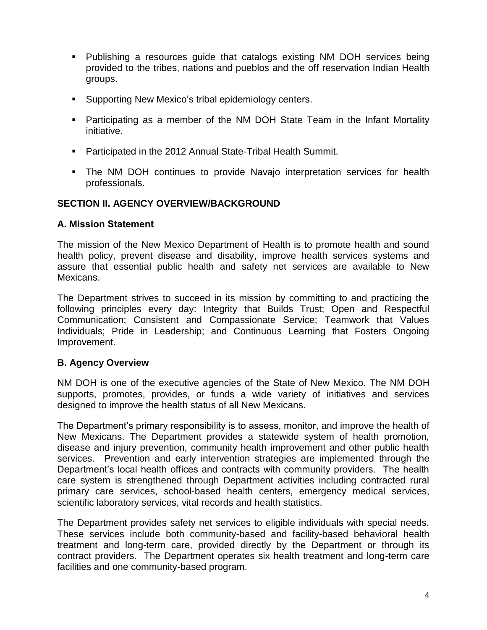- Publishing a resources guide that catalogs existing NM DOH services being provided to the tribes, nations and pueblos and the off reservation Indian Health groups.
- **Supporting New Mexico's tribal epidemiology centers.**
- Participating as a member of the NM DOH State Team in the Infant Mortality initiative.
- Participated in the 2012 Annual State-Tribal Health Summit.
- The NM DOH continues to provide Navajo interpretation services for health professionals.

# **SECTION II. AGENCY OVERVIEW/BACKGROUND**

#### **A. Mission Statement**

The mission of the New Mexico Department of Health is to promote health and sound health policy, prevent disease and disability, improve health services systems and assure that essential public health and safety net services are available to New Mexicans.

The Department strives to succeed in its mission by committing to and practicing the following principles every day: Integrity that Builds Trust; Open and Respectful Communication; Consistent and Compassionate Service; Teamwork that Values Individuals; Pride in Leadership; and Continuous Learning that Fosters Ongoing Improvement.

# **B. Agency Overview**

NM DOH is one of the executive agencies of the State of New Mexico. The NM DOH supports, promotes, provides, or funds a wide variety of initiatives and services designed to improve the health status of all New Mexicans.

The Department's primary responsibility is to assess, monitor, and improve the health of New Mexicans. The Department provides a statewide system of health promotion, disease and injury prevention, community health improvement and other public health services. Prevention and early intervention strategies are implemented through the Department's local health offices and contracts with community providers. The health care system is strengthened through Department activities including contracted rural primary care services, school-based health centers, emergency medical services, scientific laboratory services, vital records and health statistics.

The Department provides safety net services to eligible individuals with special needs. These services include both community-based and facility-based behavioral health treatment and long-term care, provided directly by the Department or through its contract providers. The Department operates six health treatment and long-term care facilities and one community-based program.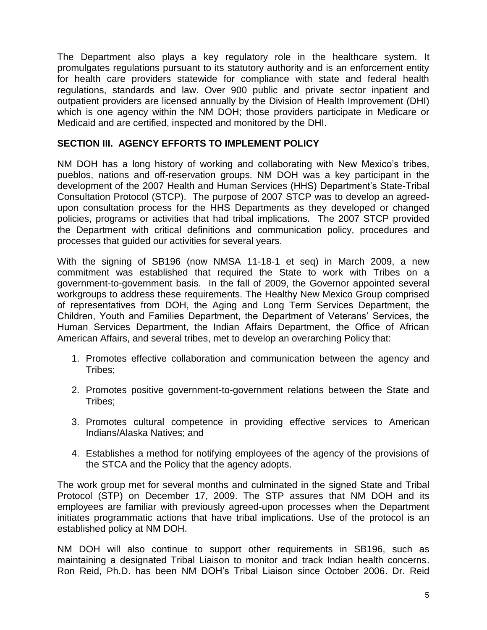The Department also plays a key regulatory role in the healthcare system. It promulgates regulations pursuant to its statutory authority and is an enforcement entity for health care providers statewide for compliance with state and federal health regulations, standards and law. Over 900 public and private sector inpatient and outpatient providers are licensed annually by the Division of Health Improvement (DHI) which is one agency within the NM DOH; those providers participate in Medicare or Medicaid and are certified, inspected and monitored by the DHI.

# **SECTION III. AGENCY EFFORTS TO IMPLEMENT POLICY**

NM DOH has a long history of working and collaborating with New Mexico's tribes, pueblos, nations and off-reservation groups. NM DOH was a key participant in the development of the 2007 Health and Human Services (HHS) Department's State-Tribal Consultation Protocol (STCP). The purpose of 2007 STCP was to develop an agreedupon consultation process for the HHS Departments as they developed or changed policies, programs or activities that had tribal implications. The 2007 STCP provided the Department with critical definitions and communication policy, procedures and processes that guided our activities for several years.

With the signing of SB196 (now NMSA 11-18-1 et seq) in March 2009, a new commitment was established that required the State to work with Tribes on a government-to-government basis. In the fall of 2009, the Governor appointed several workgroups to address these requirements. The Healthy New Mexico Group comprised of representatives from DOH, the Aging and Long Term Services Department, the Children, Youth and Families Department, the Department of Veterans' Services, the Human Services Department, the Indian Affairs Department, the Office of African American Affairs, and several tribes, met to develop an overarching Policy that:

- 1. Promotes effective collaboration and communication between the agency and Tribes;
- 2. Promotes positive government-to-government relations between the State and Tribes;
- 3. Promotes cultural competence in providing effective services to American Indians/Alaska Natives; and
- 4. Establishes a method for notifying employees of the agency of the provisions of the STCA and the Policy that the agency adopts.

The work group met for several months and culminated in the signed State and Tribal Protocol (STP) on December 17, 2009. The STP assures that NM DOH and its employees are familiar with previously agreed-upon processes when the Department initiates programmatic actions that have tribal implications. Use of the protocol is an established policy at NM DOH.

NM DOH will also continue to support other requirements in SB196, such as maintaining a designated Tribal Liaison to monitor and track Indian health concerns. Ron Reid, Ph.D. has been NM DOH's Tribal Liaison since October 2006. Dr. Reid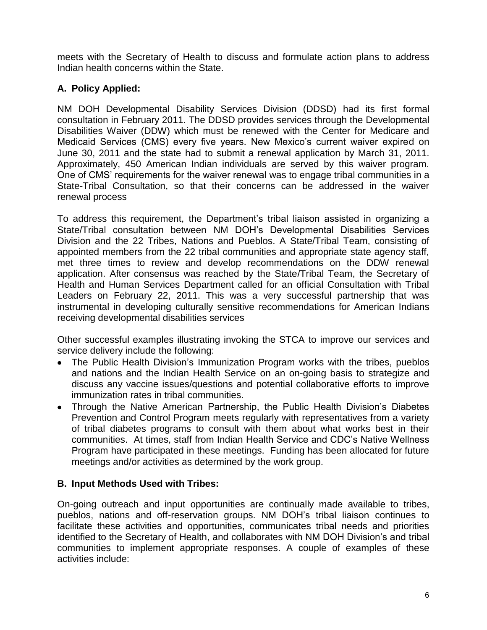meets with the Secretary of Health to discuss and formulate action plans to address Indian health concerns within the State.

# **A. Policy Applied:**

NM DOH Developmental Disability Services Division (DDSD) had its first formal consultation in February 2011. The DDSD provides services through the Developmental Disabilities Waiver (DDW) which must be renewed with the Center for Medicare and Medicaid Services (CMS) every five years. New Mexico's current waiver expired on June 30, 2011 and the state had to submit a renewal application by March 31, 2011. Approximately, 450 American Indian individuals are served by this waiver program. One of CMS' requirements for the waiver renewal was to engage tribal communities in a State-Tribal Consultation, so that their concerns can be addressed in the waiver renewal process

To address this requirement, the Department's tribal liaison assisted in organizing a State/Tribal consultation between NM DOH's Developmental Disabilities Services Division and the 22 Tribes, Nations and Pueblos. A State/Tribal Team, consisting of appointed members from the 22 tribal communities and appropriate state agency staff, met three times to review and develop recommendations on the DDW renewal application. After consensus was reached by the State/Tribal Team, the Secretary of Health and Human Services Department called for an official Consultation with Tribal Leaders on February 22, 2011. This was a very successful partnership that was instrumental in developing culturally sensitive recommendations for American Indians receiving developmental disabilities services

Other successful examples illustrating invoking the STCA to improve our services and service delivery include the following:

- The Public Health Division's Immunization Program works with the tribes, pueblos and nations and the Indian Health Service on an on-going basis to strategize and discuss any vaccine issues/questions and potential collaborative efforts to improve immunization rates in tribal communities.
- Through the Native American Partnership, the Public Health Division's Diabetes Prevention and Control Program meets regularly with representatives from a variety of tribal diabetes programs to consult with them about what works best in their communities. At times, staff from Indian Health Service and CDC's Native Wellness Program have participated in these meetings. Funding has been allocated for future meetings and/or activities as determined by the work group.

# **B. Input Methods Used with Tribes:**

On-going outreach and input opportunities are continually made available to tribes, pueblos, nations and off-reservation groups. NM DOH's tribal liaison continues to facilitate these activities and opportunities, communicates tribal needs and priorities identified to the Secretary of Health, and collaborates with NM DOH Division's and tribal communities to implement appropriate responses. A couple of examples of these activities include: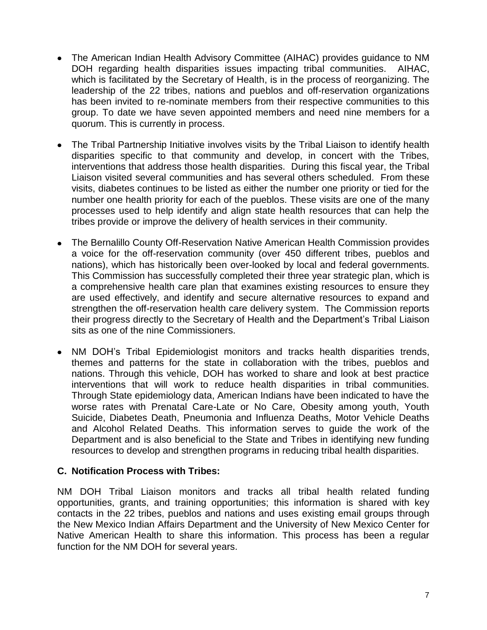- The American Indian Health Advisory Committee (AIHAC) provides guidance to NM DOH regarding health disparities issues impacting tribal communities. AIHAC, which is facilitated by the Secretary of Health, is in the process of reorganizing. The leadership of the 22 tribes, nations and pueblos and off-reservation organizations has been invited to re-nominate members from their respective communities to this group. To date we have seven appointed members and need nine members for a quorum. This is currently in process.
- The Tribal Partnership Initiative involves visits by the Tribal Liaison to identify health disparities specific to that community and develop, in concert with the Tribes, interventions that address those health disparities. During this fiscal year, the Tribal Liaison visited several communities and has several others scheduled. From these visits, diabetes continues to be listed as either the number one priority or tied for the number one health priority for each of the pueblos. These visits are one of the many processes used to help identify and align state health resources that can help the tribes provide or improve the delivery of health services in their community.
- The Bernalillo County Off-Reservation Native American Health Commission provides a voice for the off-reservation community (over 450 different tribes, pueblos and nations), which has historically been over-looked by local and federal governments. This Commission has successfully completed their three year strategic plan, which is a comprehensive health care plan that examines existing resources to ensure they are used effectively, and identify and secure alternative resources to expand and strengthen the off-reservation health care delivery system. The Commission reports their progress directly to the Secretary of Health and the Department's Tribal Liaison sits as one of the nine Commissioners.
- NM DOH's Tribal Epidemiologist monitors and tracks health disparities trends, themes and patterns for the state in collaboration with the tribes, pueblos and nations. Through this vehicle, DOH has worked to share and look at best practice interventions that will work to reduce health disparities in tribal communities. Through State epidemiology data, American Indians have been indicated to have the worse rates with Prenatal Care-Late or No Care, Obesity among youth, Youth Suicide, Diabetes Death, Pneumonia and Influenza Deaths, Motor Vehicle Deaths and Alcohol Related Deaths. This information serves to guide the work of the Department and is also beneficial to the State and Tribes in identifying new funding resources to develop and strengthen programs in reducing tribal health disparities.

#### **C. Notification Process with Tribes:**

NM DOH Tribal Liaison monitors and tracks all tribal health related funding opportunities, grants, and training opportunities; this information is shared with key contacts in the 22 tribes, pueblos and nations and uses existing email groups through the New Mexico Indian Affairs Department and the University of New Mexico Center for Native American Health to share this information. This process has been a regular function for the NM DOH for several years.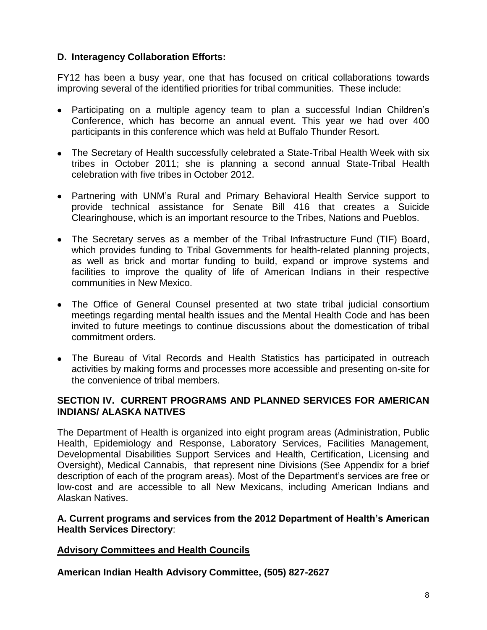# **D. Interagency Collaboration Efforts:**

FY12 has been a busy year, one that has focused on critical collaborations towards improving several of the identified priorities for tribal communities. These include:

- Participating on a multiple agency team to plan a successful Indian Children's Conference, which has become an annual event. This year we had over 400 participants in this conference which was held at Buffalo Thunder Resort.
- The Secretary of Health successfully celebrated a State-Tribal Health Week with six tribes in October 2011; she is planning a second annual State-Tribal Health celebration with five tribes in October 2012.
- Partnering with UNM's Rural and Primary Behavioral Health Service support to provide technical assistance for Senate Bill 416 that creates a Suicide Clearinghouse, which is an important resource to the Tribes, Nations and Pueblos.
- The Secretary serves as a member of the Tribal Infrastructure Fund (TIF) Board, which provides funding to Tribal Governments for health-related planning projects, as well as brick and mortar funding to build, expand or improve systems and facilities to improve the quality of life of American Indians in their respective communities in New Mexico.
- The Office of General Counsel presented at two state tribal judicial consortium meetings regarding mental health issues and the Mental Health Code and has been invited to future meetings to continue discussions about the domestication of tribal commitment orders.
- The Bureau of Vital Records and Health Statistics has participated in outreach activities by making forms and processes more accessible and presenting on-site for the convenience of tribal members.

# **SECTION IV. CURRENT PROGRAMS AND PLANNED SERVICES FOR AMERICAN INDIANS/ ALASKA NATIVES**

The Department of Health is organized into eight program areas (Administration, Public Health, Epidemiology and Response, Laboratory Services, Facilities Management, Developmental Disabilities Support Services and Health, Certification, Licensing and Oversight), Medical Cannabis, that represent nine Divisions (See Appendix for a brief description of each of the program areas). Most of the Department's services are free or low-cost and are accessible to all New Mexicans, including American Indians and Alaskan Natives.

#### **A. Current programs and services from the 2012 Department of Health's American Health Services Directory**:

#### **Advisory Committees and Health Councils**

**American Indian Health Advisory Committee, (505) 827-2627**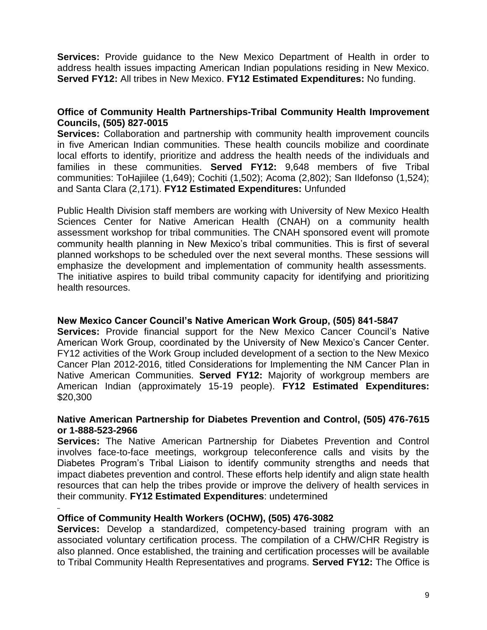**Services:** Provide guidance to the New Mexico Department of Health in order to address health issues impacting American Indian populations residing in New Mexico. **Served FY12:** All tribes in New Mexico. **FY12 Estimated Expenditures:** No funding.

## **Office of Community Health Partnerships-Tribal Community Health Improvement Councils, (505) 827-0015**

**Services:** Collaboration and partnership with community health improvement councils in five American Indian communities. These health councils mobilize and coordinate local efforts to identify, prioritize and address the health needs of the individuals and families in these communities. **Served FY12:** 9,648 members of five Tribal communities: ToHajiilee (1,649); Cochiti (1,502); Acoma (2,802); San Ildefonso (1,524); and Santa Clara (2,171). **FY12 Estimated Expenditures:** Unfunded

Public Health Division staff members are working with University of New Mexico Health Sciences Center for Native American Health (CNAH) on a community health assessment workshop for tribal communities. The CNAH sponsored event will promote community health planning in New Mexico's tribal communities. This is first of several planned workshops to be scheduled over the next several months. These sessions will emphasize the development and implementation of community health assessments. The initiative aspires to build tribal community capacity for identifying and prioritizing health resources.

#### **New Mexico Cancer Council's Native American Work Group, (505) 841-5847**

**Services:** Provide financial support for the New Mexico Cancer Council's Native American Work Group, coordinated by the University of New Mexico's Cancer Center. FY12 activities of the Work Group included development of a section to the New Mexico Cancer Plan 2012-2016, titled Considerations for Implementing the NM Cancer Plan in Native American Communities. **Served FY12:** Majority of workgroup members are American Indian (approximately 15-19 people). **FY12 Estimated Expenditures:** \$20,300

#### **Native American Partnership for Diabetes Prevention and Control, (505) 476-7615 or 1-888-523-2966**

**Services:** The Native American Partnership for Diabetes Prevention and Control involves face-to-face meetings, workgroup teleconference calls and visits by the Diabetes Program's Tribal Liaison to identify community strengths and needs that impact diabetes prevention and control. These efforts help identify and align state health resources that can help the tribes provide or improve the delivery of health services in their community. **FY12 Estimated Expenditures**: undetermined

#### **Office of Community Health Workers (OCHW), (505) 476-3082**

**Services:** Develop a standardized, competency-based training program with an associated voluntary certification process. The compilation of a CHW/CHR Registry is also planned. Once established, the training and certification processes will be available to Tribal Community Health Representatives and programs. **Served FY12:** The Office is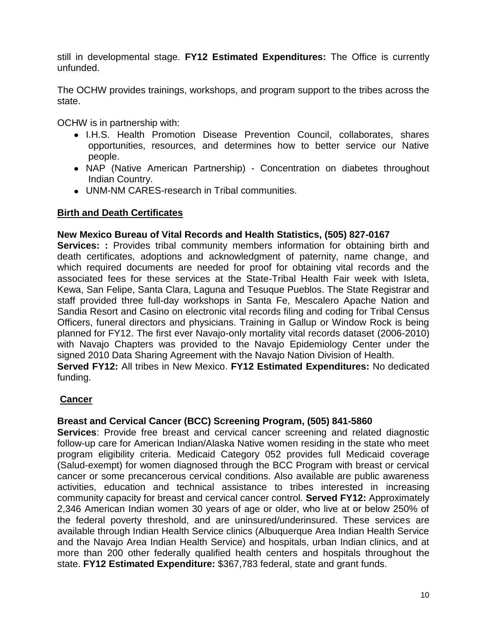still in developmental stage. **FY12 Estimated Expenditures:** The Office is currently unfunded.

The OCHW provides trainings, workshops, and program support to the tribes across the state.

OCHW is in partnership with:

- I.H.S. Health Promotion Disease Prevention Council, collaborates, shares opportunities, resources, and determines how to better service our Native people.
- NAP (Native American Partnership) Concentration on diabetes throughout Indian Country.
- UNM-NM CARES-research in Tribal communities.

# **Birth and Death Certificates**

#### **New Mexico Bureau of Vital Records and Health Statistics, (505) 827-0167**

**Services: :** Provides tribal community members information for obtaining birth and death certificates, adoptions and acknowledgment of paternity, name change, and which required documents are needed for proof for obtaining vital records and the associated fees for these services at the State-Tribal Health Fair week with Isleta, Kewa, San Felipe, Santa Clara, Laguna and Tesuque Pueblos. The State Registrar and staff provided three full-day workshops in Santa Fe, Mescalero Apache Nation and Sandia Resort and Casino on electronic vital records filing and coding for Tribal Census Officers, funeral directors and physicians. Training in Gallup or Window Rock is being planned for FY12. The first ever Navajo-only mortality vital records dataset (2006-2010) with Navajo Chapters was provided to the Navajo Epidemiology Center under the signed 2010 Data Sharing Agreement with the Navajo Nation Division of Health.

**Served FY12:** All tribes in New Mexico. **FY12 Estimated Expenditures:** No dedicated funding.

# **Cancer**

#### **Breast and Cervical Cancer (BCC) Screening Program, (505) 841-5860**

**Services**: Provide free breast and cervical cancer screening and related diagnostic follow-up care for American Indian/Alaska Native women residing in the state who meet program eligibility criteria. Medicaid Category 052 provides full Medicaid coverage (Salud-exempt) for women diagnosed through the BCC Program with breast or cervical cancer or some precancerous cervical conditions. Also available are public awareness activities, education and technical assistance to tribes interested in increasing community capacity for breast and cervical cancer control. **Served FY12:** Approximately 2,346 American Indian women 30 years of age or older, who live at or below 250% of the federal poverty threshold, and are uninsured/underinsured. These services are available through Indian Health Service clinics (Albuquerque Area Indian Health Service and the Navajo Area Indian Health Service) and hospitals, urban Indian clinics, and at more than 200 other federally qualified health centers and hospitals throughout the state. **FY12 Estimated Expenditure:** \$367,783 federal, state and grant funds.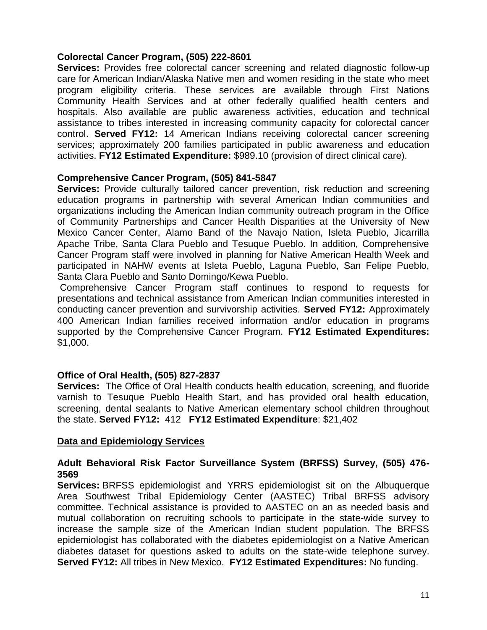#### **Colorectal Cancer Program, (505) 222-8601**

**Services:** Provides free colorectal cancer screening and related diagnostic follow-up care for American Indian/Alaska Native men and women residing in the state who meet program eligibility criteria. These services are available through First Nations Community Health Services and at other federally qualified health centers and hospitals. Also available are public awareness activities, education and technical assistance to tribes interested in increasing community capacity for colorectal cancer control. **Served FY12:** 14 American Indians receiving colorectal cancer screening services; approximately 200 families participated in public awareness and education activities. **FY12 Estimated Expenditure:** \$989.10 (provision of direct clinical care).

#### **Comprehensive Cancer Program, (505) 841-5847**

**Services:** Provide culturally tailored cancer prevention, risk reduction and screening education programs in partnership with several American Indian communities and organizations including the American Indian community outreach program in the Office of Community Partnerships and Cancer Health Disparities at the University of New Mexico Cancer Center, Alamo Band of the Navajo Nation, Isleta Pueblo, Jicarrilla Apache Tribe, Santa Clara Pueblo and Tesuque Pueblo. In addition, Comprehensive Cancer Program staff were involved in planning for Native American Health Week and participated in NAHW events at Isleta Pueblo, Laguna Pueblo, San Felipe Pueblo, Santa Clara Pueblo and Santo Domingo/Kewa Pueblo.

Comprehensive Cancer Program staff continues to respond to requests for presentations and technical assistance from American Indian communities interested in conducting cancer prevention and survivorship activities. **Served FY12:** Approximately 400 American Indian families received information and/or education in programs supported by the Comprehensive Cancer Program. **FY12 Estimated Expenditures:** \$1,000.

#### **Office of Oral Health, (505) 827-2837**

**Services:** The Office of Oral Health conducts health education, screening, and fluoride varnish to Tesuque Pueblo Health Start, and has provided oral health education, screening, dental sealants to Native American elementary school children throughout the state. **Served FY12:** 412 **FY12 Estimated Expenditure**: \$21,402

#### **Data and Epidemiology Services**

#### **Adult Behavioral Risk Factor Surveillance System (BRFSS) Survey, (505) 476- 3569**

**Services:** BRFSS epidemiologist and YRRS epidemiologist sit on the Albuquerque Area Southwest Tribal Epidemiology Center (AASTEC) Tribal BRFSS advisory committee. Technical assistance is provided to AASTEC on an as needed basis and mutual collaboration on recruiting schools to participate in the state-wide survey to increase the sample size of the American Indian student population. The BRFSS epidemiologist has collaborated with the diabetes epidemiologist on a Native American diabetes dataset for questions asked to adults on the state-wide telephone survey. **Served FY12:** All tribes in New Mexico. **FY12 Estimated Expenditures:** No funding.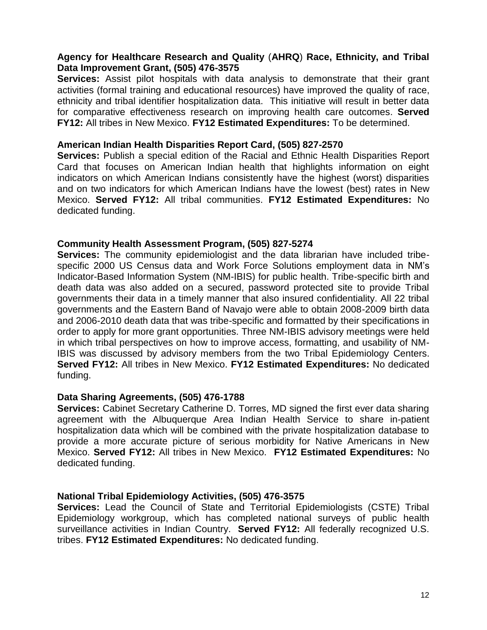#### **Agency for Healthcare Research and Quality** (**AHRQ**) **Race, Ethnicity, and Tribal Data Improvement Grant, (505) 476-3575**

**Services:** Assist pilot hospitals with data analysis to demonstrate that their grant activities (formal training and educational resources) have improved the quality of race, ethnicity and tribal identifier hospitalization data. This initiative will result in better data for comparative effectiveness research on improving health care outcomes. **Served FY12:** All tribes in New Mexico. **FY12 Estimated Expenditures:** To be determined.

#### **American Indian Health Disparities Report Card, (505) 827-2570**

**Services:** Publish a special edition of the Racial and Ethnic Health Disparities Report Card that focuses on American Indian health that highlights information on eight indicators on which American Indians consistently have the highest (worst) disparities and on two indicators for which American Indians have the lowest (best) rates in New Mexico. **Served FY12:** All tribal communities. **FY12 Estimated Expenditures:** No dedicated funding.

#### **Community Health Assessment Program, (505) 827-5274**

**Services:** The community epidemiologist and the data librarian have included tribespecific 2000 US Census data and Work Force Solutions employment data in NM's Indicator-Based Information System (NM-IBIS) for public health. Tribe-specific birth and death data was also added on a secured, password protected site to provide Tribal governments their data in a timely manner that also insured confidentiality. All 22 tribal governments and the Eastern Band of Navajo were able to obtain 2008-2009 birth data and 2006-2010 death data that was tribe-specific and formatted by their specifications in order to apply for more grant opportunities. Three NM-IBIS advisory meetings were held in which tribal perspectives on how to improve access, formatting, and usability of NM-IBIS was discussed by advisory members from the two Tribal Epidemiology Centers. **Served FY12:** All tribes in New Mexico. **FY12 Estimated Expenditures:** No dedicated funding.

#### **Data Sharing Agreements, (505) 476-1788**

**Services:** Cabinet Secretary Catherine D. Torres, MD signed the first ever data sharing agreement with the Albuquerque Area Indian Health Service to share in-patient hospitalization data which will be combined with the private hospitalization database to provide a more accurate picture of serious morbidity for Native Americans in New Mexico. **Served FY12:** All tribes in New Mexico. **FY12 Estimated Expenditures:** No dedicated funding.

#### **National Tribal Epidemiology Activities, (505) 476-3575**

**Services:** Lead the Council of State and Territorial Epidemiologists (CSTE) Tribal Epidemiology workgroup, which has completed national surveys of public health surveillance activities in Indian Country. **Served FY12:** All federally recognized U.S. tribes. **FY12 Estimated Expenditures:** No dedicated funding.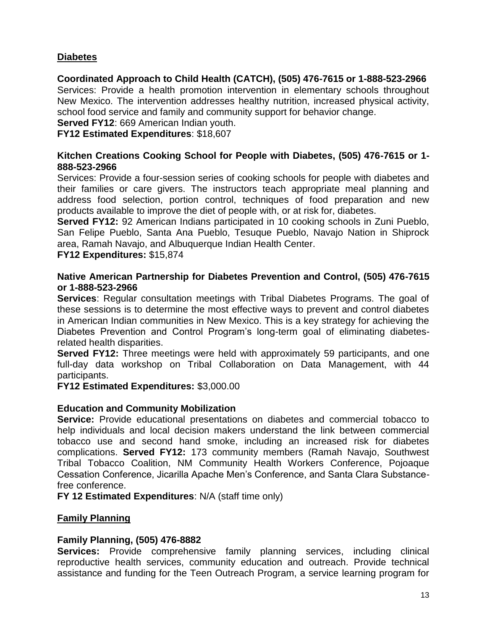# **Diabetes**

**Coordinated Approach to Child Health (CATCH), (505) 476-7615 or 1-888-523-2966** Services: Provide a health promotion intervention in elementary schools throughout New Mexico. The intervention addresses healthy nutrition, increased physical activity, school food service and family and community support for behavior change.

**Served FY12**: 669 American Indian youth.

**FY12 Estimated Expenditures**: \$18,607

#### **Kitchen Creations Cooking School for People with Diabetes, (505) 476-7615 or 1- 888-523-2966**

Services: Provide a four-session series of cooking schools for people with diabetes and their families or care givers. The instructors teach appropriate meal planning and address food selection, portion control, techniques of food preparation and new products available to improve the diet of people with, or at risk for, diabetes.

**Served FY12:** 92 American Indians participated in 10 cooking schools in Zuni Pueblo, San Felipe Pueblo, Santa Ana Pueblo, Tesuque Pueblo, Navajo Nation in Shiprock area, Ramah Navajo, and Albuquerque Indian Health Center.

**FY12 Expenditures:** \$15,874

#### **Native American Partnership for Diabetes Prevention and Control, (505) 476-7615 or 1-888-523-2966**

**Services**: Regular consultation meetings with Tribal Diabetes Programs. The goal of these sessions is to determine the most effective ways to prevent and control diabetes in American Indian communities in New Mexico. This is a key strategy for achieving the Diabetes Prevention and Control Program's long-term goal of eliminating diabetesrelated health disparities.

**Served FY12:** Three meetings were held with approximately 59 participants, and one full-day data workshop on Tribal Collaboration on Data Management, with 44 participants.

**FY12 Estimated Expenditures:** \$3,000.00

#### **Education and Community Mobilization**

**Service:** Provide educational presentations on diabetes and commercial tobacco to help individuals and local decision makers understand the link between commercial tobacco use and second hand smoke, including an increased risk for diabetes complications. **Served FY12:** 173 community members (Ramah Navajo, Southwest Tribal Tobacco Coalition, NM Community Health Workers Conference, Pojoaque Cessation Conference, Jicarilla Apache Men's Conference, and Santa Clara Substancefree conference.

**FY 12 Estimated Expenditures**: N/A (staff time only)

#### **Family Planning**

#### **Family Planning, (505) 476-8882**

**Services:** Provide comprehensive family planning services, including clinical reproductive health services, community education and outreach. Provide technical assistance and funding for the Teen Outreach Program, a service learning program for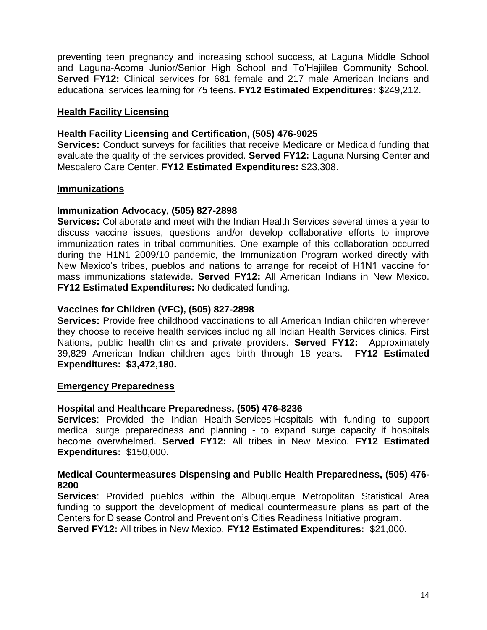preventing teen pregnancy and increasing school success, at Laguna Middle School and Laguna-Acoma Junior/Senior High School and To'Hajiilee Community School. **Served FY12:** Clinical services for 681 female and 217 male American Indians and educational services learning for 75 teens. **FY12 Estimated Expenditures:** \$249,212.

#### **Health Facility Licensing**

#### **Health Facility Licensing and Certification, (505) 476-9025**

**Services:** Conduct surveys for facilities that receive Medicare or Medicaid funding that evaluate the quality of the services provided. **Served FY12:** Laguna Nursing Center and Mescalero Care Center. **FY12 Estimated Expenditures:** \$23,308.

#### **Immunizations**

#### **Immunization Advocacy, (505) 827-2898**

**Services:** Collaborate and meet with the Indian Health Services several times a year to discuss vaccine issues, questions and/or develop collaborative efforts to improve immunization rates in tribal communities. One example of this collaboration occurred during the H1N1 2009/10 pandemic, the Immunization Program worked directly with New Mexico's tribes, pueblos and nations to arrange for receipt of H1N1 vaccine for mass immunizations statewide. **Served FY12:** All American Indians in New Mexico. **FY12 Estimated Expenditures:** No dedicated funding.

#### **Vaccines for Children (VFC), (505) 827-2898**

**Services:** Provide free childhood vaccinations to all American Indian children wherever they choose to receive health services including all Indian Health Services clinics, First Nations, public health clinics and private providers. **Served FY12:** Approximately 39,829 American Indian children ages birth through 18 years. **FY12 Estimated Expenditures: \$3,472,180.**

#### **Emergency Preparedness**

#### **Hospital and Healthcare Preparedness, (505) 476-8236**

**Services**: Provided the Indian Health Services Hospitals with funding to support medical surge preparedness and planning - to expand surge capacity if hospitals become overwhelmed. **Served FY12:** All tribes in New Mexico. **FY12 Estimated Expenditures:** \$150,000.

#### **Medical Countermeasures Dispensing and Public Health Preparedness, (505) 476- 8200**

**Services**: Provided pueblos within the Albuquerque Metropolitan Statistical Area funding to support the development of medical countermeasure plans as part of the Centers for Disease Control and Prevention's Cities Readiness Initiative program.

**Served FY12:** All tribes in New Mexico. **FY12 Estimated Expenditures:** \$21,000.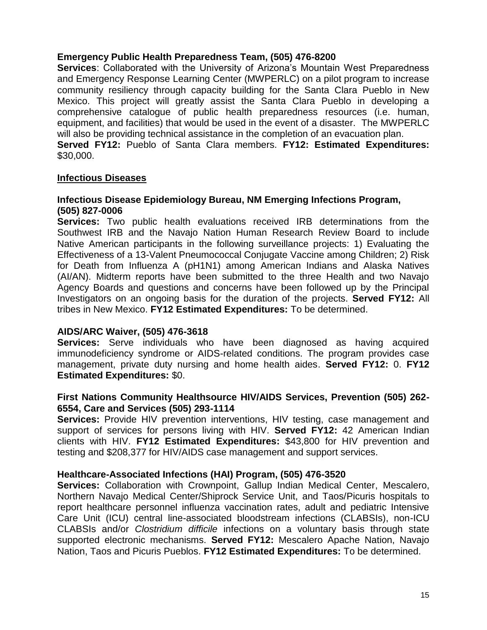#### **Emergency Public Health Preparedness Team, (505) 476-8200**

**Services**: Collaborated with the University of Arizona's Mountain West Preparedness and Emergency Response Learning Center (MWPERLC) on a pilot program to increase community resiliency through capacity building for the Santa Clara Pueblo in New Mexico. This project will greatly assist the Santa Clara Pueblo in developing a comprehensive catalogue of public health preparedness resources (i.e. human, equipment, and facilities) that would be used in the event of a disaster. The MWPERLC will also be providing technical assistance in the completion of an evacuation plan.

**Served FY12:** Pueblo of Santa Clara members. **FY12: Estimated Expenditures:** \$30,000.

#### **Infectious Diseases**

#### **Infectious Disease Epidemiology Bureau, NM Emerging Infections Program, (505) 827-0006**

**Services:** Two public health evaluations received IRB determinations from the Southwest IRB and the Navajo Nation Human Research Review Board to include Native American participants in the following surveillance projects: 1) Evaluating the Effectiveness of a 13-Valent Pneumococcal Conjugate Vaccine among Children; 2) Risk for Death from Influenza A (pH1N1) among American Indians and Alaska Natives (AI/AN). Midterm reports have been submitted to the three Health and two Navajo Agency Boards and questions and concerns have been followed up by the Principal Investigators on an ongoing basis for the duration of the projects. **Served FY12:** All tribes in New Mexico. **FY12 Estimated Expenditures:** To be determined.

#### **AIDS/ARC Waiver, (505) 476-3618**

**Services:** Serve individuals who have been diagnosed as having acquired immunodeficiency syndrome or AIDS-related conditions. The program provides case management, private duty nursing and home health aides. **Served FY12:** 0. **FY12 Estimated Expenditures:** \$0.

#### **First Nations Community Healthsource HIV/AIDS Services, Prevention (505) 262- 6554, Care and Services (505) 293-1114**

**Services:** Provide HIV prevention interventions, HIV testing, case management and support of services for persons living with HIV. **Served FY12:** 42 American Indian clients with HIV. **FY12 Estimated Expenditures:** \$43,800 for HIV prevention and testing and \$208,377 for HIV/AIDS case management and support services.

#### **Healthcare-Associated Infections (HAI) Program, (505) 476-3520**

**Services:** Collaboration with Crownpoint, Gallup Indian Medical Center, Mescalero, Northern Navajo Medical Center/Shiprock Service Unit, and Taos/Picuris hospitals to report healthcare personnel influenza vaccination rates, adult and pediatric Intensive Care Unit (ICU) central line-associated bloodstream infections (CLABSIs), non-ICU CLABSIs and/or *Clostridium difficile* infections on a voluntary basis through state supported electronic mechanisms. **Served FY12:** Mescalero Apache Nation, Navajo Nation, Taos and Picuris Pueblos. **FY12 Estimated Expenditures:** To be determined.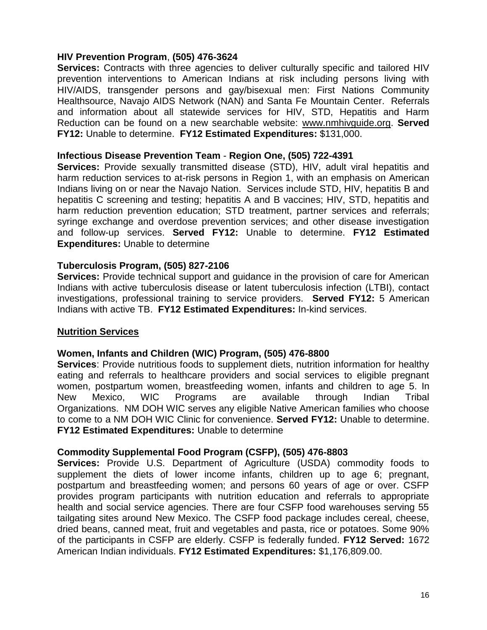#### **HIV Prevention Program**, **(505) 476-3624**

**Services:** Contracts with three agencies to deliver culturally specific and tailored HIV prevention interventions to American Indians at risk including persons living with HIV/AIDS, transgender persons and gay/bisexual men: First Nations Community Healthsource, Navajo AIDS Network (NAN) and Santa Fe Mountain Center. Referrals and information about all statewide services for HIV, STD, Hepatitis and Harm Reduction can be found on a new searchable website: [www.nmhivguide.org.](http://www.nmhivguide.org/) **Served FY12:** Unable to determine. **FY12 Estimated Expenditures:** \$131,000.

#### **Infectious Disease Prevention Team** - **Region One, (505) 722-4391**

**Services:** Provide sexually transmitted disease (STD), HIV, adult viral hepatitis and harm reduction services to at-risk persons in Region 1, with an emphasis on American Indians living on or near the Navajo Nation. Services include STD, HIV, hepatitis B and hepatitis C screening and testing; hepatitis A and B vaccines; HIV, STD, hepatitis and harm reduction prevention education; STD treatment, partner services and referrals; syringe exchange and overdose prevention services; and other disease investigation and follow-up services. **Served FY12:** Unable to determine. **FY12 Estimated Expenditures:** Unable to determine

#### **Tuberculosis Program, (505) 827-2106**

**Services:** Provide technical support and guidance in the provision of care for American Indians with active tuberculosis disease or latent tuberculosis infection (LTBI), contact investigations, professional training to service providers. **Served FY12:** 5 American Indians with active TB. **FY12 Estimated Expenditures:** In-kind services.

#### **Nutrition Services**

#### **Women, Infants and Children (WIC) Program, (505) 476-8800**

**Services**: Provide nutritious foods to supplement diets, nutrition information for healthy eating and referrals to healthcare providers and social services to eligible pregnant women, postpartum women, breastfeeding women, infants and children to age 5. In New Mexico, WIC Programs are available through Indian Tribal Organizations. NM DOH WIC serves any eligible Native American families who choose to come to a NM DOH WIC Clinic for convenience. **Served FY12:** Unable to determine. **FY12 Estimated Expenditures:** Unable to determine

#### **Commodity Supplemental Food Program (CSFP), (505) 476-8803**

**Services:** Provide U.S. Department of Agriculture (USDA) commodity foods to supplement the diets of lower income infants, children up to age 6; pregnant, postpartum and breastfeeding women; and persons 60 years of age or over. CSFP provides program participants with nutrition education and referrals to appropriate health and social service agencies. There are four CSFP food warehouses serving 55 tailgating sites around New Mexico. The CSFP food package includes cereal, cheese, dried beans, canned meat, fruit and vegetables and pasta, rice or potatoes. Some 90% of the participants in CSFP are elderly. CSFP is federally funded. **FY12 Served:** 1672 American Indian individuals. **FY12 Estimated Expenditures:** \$1,176,809.00.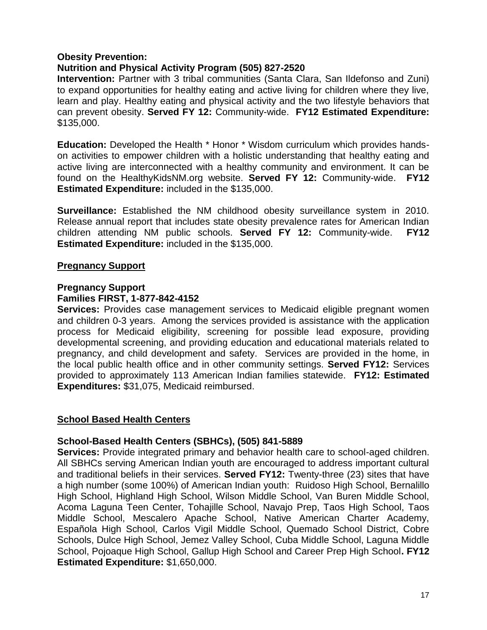#### **Obesity Prevention:**

# **Nutrition and Physical Activity Program (505) 827-2520**

**Intervention:** Partner with 3 tribal communities (Santa Clara, San Ildefonso and Zuni) to expand opportunities for healthy eating and active living for children where they live, learn and play. Healthy eating and physical activity and the two lifestyle behaviors that can prevent obesity. **Served FY 12:** Community-wide. **FY12 Estimated Expenditure:** \$135,000.

**Education:** Developed the Health \* Honor \* Wisdom curriculum which provides handson activities to empower children with a holistic understanding that healthy eating and active living are interconnected with a healthy community and environment. It can be found on the HealthyKidsNM.org website. **Served FY 12:** Community-wide. **FY12 Estimated Expenditure:** included in the \$135,000.

**Surveillance:** Established the NM childhood obesity surveillance system in 2010. Release annual report that includes state obesity prevalence rates for American Indian children attending NM public schools. **Served FY 12:** Community-wide. **FY12 Estimated Expenditure:** included in the \$135,000.

#### **Pregnancy Support**

#### **Pregnancy Support Families FIRST, 1-877-842-4152**

**Services:** Provides case management services to Medicaid eligible pregnant women and children 0-3 years. Among the services provided is assistance with the application process for Medicaid eligibility, screening for possible lead exposure, providing developmental screening, and providing education and educational materials related to pregnancy, and child development and safety. Services are provided in the home, in the local public health office and in other community settings. **Served FY12:** Services provided to approximately 113 American Indian families statewide. **FY12: Estimated Expenditures:** \$31,075, Medicaid reimbursed.

#### **School Based Health Centers**

#### **School-Based Health Centers (SBHCs), (505) 841-5889**

**Services:** Provide integrated primary and behavior health care to school-aged children. All SBHCs serving American Indian youth are encouraged to address important cultural and traditional beliefs in their services. **Served FY12:** Twenty-three (23) sites that have a high number (some 100%) of American Indian youth:Ruidoso High School, Bernalillo High School, Highland High School, Wilson Middle School, Van Buren Middle School, Acoma Laguna Teen Center, Tohajille School, Navajo Prep, Taos High School, Taos Middle School, Mescalero Apache School, Native American Charter Academy, Española High School, Carlos Vigil Middle School, Quemado School District, Cobre Schools, Dulce High School, Jemez Valley School, Cuba Middle School, Laguna Middle School, Pojoaque High School, Gallup High School and Career Prep High School**. FY12 Estimated Expenditure:** \$1,650,000.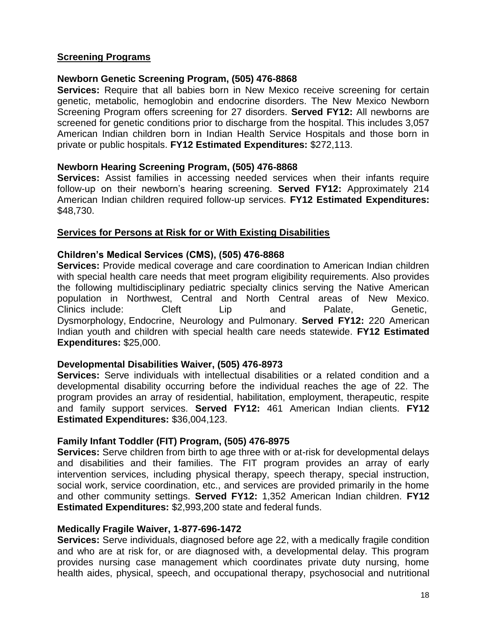#### **Screening Programs**

### **Newborn Genetic Screening Program, (505) 476-8868**

**Services:** Require that all babies born in New Mexico receive screening for certain genetic, metabolic, hemoglobin and endocrine disorders. The New Mexico Newborn Screening Program offers screening for 27 disorders. **Served FY12:** All newborns are screened for genetic conditions prior to discharge from the hospital. This includes 3,057 American Indian children born in Indian Health Service Hospitals and those born in private or public hospitals. **FY12 Estimated Expenditures:** \$272,113.

#### **Newborn Hearing Screening Program, (505) 476-8868**

**Services:** Assist families in accessing needed services when their infants require follow-up on their newborn's hearing screening. **Served FY12:** Approximately 214 American Indian children required follow-up services. **FY12 Estimated Expenditures:** \$48,730.

# **Services for Persons at Risk for or With Existing Disabilities**

# **Children's Medical Services (CMS), (505) 476-8868**

**Services:** Provide medical coverage and care coordination to American Indian children with special health care needs that meet program eligibility requirements. Also provides the following multidisciplinary pediatric specialty clinics serving the Native American population in Northwest, Central and North Central areas of New Mexico. Clinics include: Cleft Lip and Palate, Genetic, Dysmorphology, Endocrine, Neurology and Pulmonary. **Served FY12:** 220 American Indian youth and children with special health care needs statewide. **FY12 Estimated Expenditures:** \$25,000.

#### **Developmental Disabilities Waiver, (505) 476-8973**

**Services:** Serve individuals with intellectual disabilities or a related condition and a developmental disability occurring before the individual reaches the age of 22. The program provides an array of residential, habilitation, employment, therapeutic, respite and family support services. **Served FY12:** 461 American Indian clients. **FY12 Estimated Expenditures:** \$36,004,123.

#### **Family Infant Toddler (FIT) Program, (505) 476-8975**

**Services:** Serve children from birth to age three with or at-risk for developmental delays and disabilities and their families. The FIT program provides an array of early intervention services, including physical therapy, speech therapy, special instruction, social work, service coordination, etc., and services are provided primarily in the home and other community settings. **Served FY12:** 1,352 American Indian children. **FY12 Estimated Expenditures:** \$2,993,200 state and federal funds.

#### **Medically Fragile Waiver, 1-877-696-1472**

**Services:** Serve individuals, diagnosed before age 22, with a medically fragile condition and who are at risk for, or are diagnosed with, a developmental delay. This program provides nursing case management which coordinates private duty nursing, home health aides, physical, speech, and occupational therapy, psychosocial and nutritional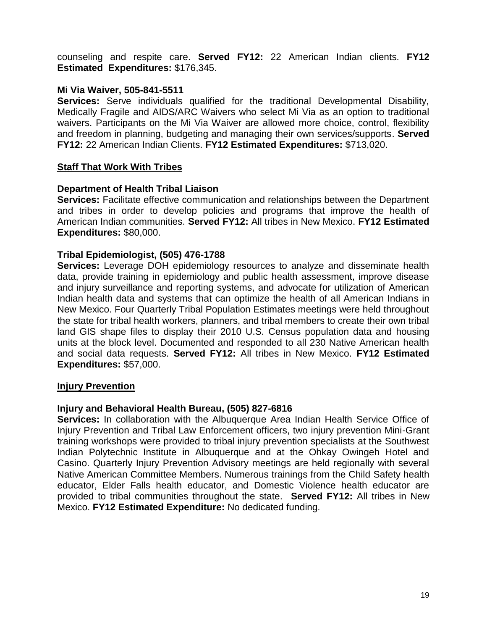counseling and respite care. **Served FY12:** 22 American Indian clients. **FY12 Estimated Expenditures:** \$176,345.

#### **Mi Via Waiver, 505-841-5511**

**Services:** Serve individuals qualified for the traditional Developmental Disability, Medically Fragile and AIDS/ARC Waivers who select Mi Via as an option to traditional waivers. Participants on the Mi Via Waiver are allowed more choice, control, flexibility and freedom in planning, budgeting and managing their own services/supports. **Served FY12:** 22 American Indian Clients. **FY12 Estimated Expenditures:** \$713,020.

# **Staff That Work With Tribes**

#### **Department of Health Tribal Liaison**

**Services:** Facilitate effective communication and relationships between the Department and tribes in order to develop policies and programs that improve the health of American Indian communities. **Served FY12:** All tribes in New Mexico. **FY12 Estimated Expenditures:** \$80,000.

# **Tribal Epidemiologist, (505) 476-1788**

**Services:** Leverage DOH epidemiology resources to analyze and disseminate health data, provide training in epidemiology and public health assessment, improve disease and injury surveillance and reporting systems, and advocate for utilization of American Indian health data and systems that can optimize the health of all American Indians in New Mexico. Four Quarterly Tribal Population Estimates meetings were held throughout the state for tribal health workers, planners, and tribal members to create their own tribal land GIS shape files to display their 2010 U.S. Census population data and housing units at the block level. Documented and responded to all 230 Native American health and social data requests. **Served FY12:** All tribes in New Mexico. **FY12 Estimated Expenditures:** \$57,000.

#### **Injury Prevention**

#### **Injury and Behavioral Health Bureau, (505) 827-6816**

**Services:** In collaboration with the Albuquerque Area Indian Health Service Office of Injury Prevention and Tribal Law Enforcement officers, two injury prevention Mini-Grant training workshops were provided to tribal injury prevention specialists at the Southwest Indian Polytechnic Institute in Albuquerque and at the Ohkay Owingeh Hotel and Casino. Quarterly Injury Prevention Advisory meetings are held regionally with several Native American Committee Members. Numerous trainings from the Child Safety health educator, Elder Falls health educator, and Domestic Violence health educator are provided to tribal communities throughout the state. **Served FY12:** All tribes in New Mexico. **FY12 Estimated Expenditure:** No dedicated funding.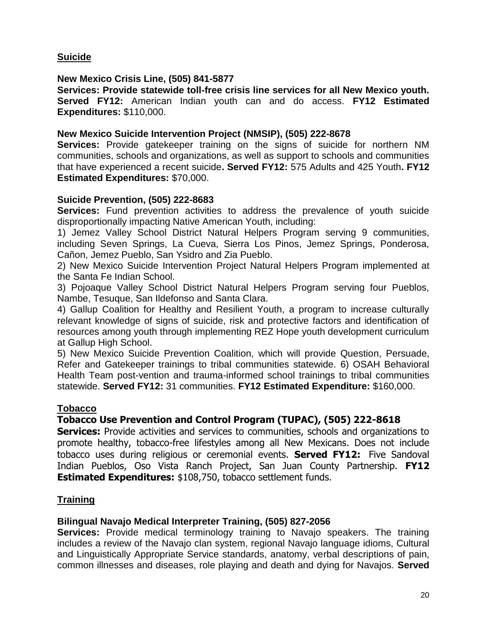**Suicide**

### **New Mexico Crisis Line, (505) 841-5877**

**Services: Provide statewide toll-free crisis line services for all New Mexico youth. Served FY12:** American Indian youth can and do access. **FY12 Estimated Expenditures:** \$110,000.

### **New Mexico Suicide Intervention Project (NMSIP), (505) 222-8678**

**Services:** Provide gatekeeper training on the signs of suicide for northern NM communities, schools and organizations, as well as support to schools and communities that have experienced a recent suicide**. Served FY12:** 575 Adults and 425 Youth**. FY12 Estimated Expenditures:** \$70,000.

#### **Suicide Prevention, (505) 222-8683**

**Services:** Fund prevention activities to address the prevalence of youth suicide disproportionally impacting Native American Youth, including:

1) Jemez Valley School District Natural Helpers Program serving 9 communities, including Seven Springs, La Cueva, Sierra Los Pinos, Jemez Springs, Ponderosa, Cañon, Jemez Pueblo, San Ysidro and Zia Pueblo.

2) New Mexico Suicide Intervention Project Natural Helpers Program implemented at the Santa Fe Indian School.

3) Pojoaque Valley School District Natural Helpers Program serving four Pueblos, Nambe, Tesuque, San Ildefonso and Santa Clara.

4) Gallup Coalition for Healthy and Resilient Youth, a program to increase culturally relevant knowledge of signs of suicide, risk and protective factors and identification of resources among youth through implementing REZ Hope youth development curriculum at Gallup High School.

5) New Mexico Suicide Prevention Coalition, which will provide Question, Persuade, Refer and Gatekeeper trainings to tribal communities statewide. 6) OSAH Behavioral Health Team post-vention and trauma-informed school trainings to tribal communities statewide. **Served FY12:** 31 communities. **FY12 Estimated Expenditure:** \$160,000.

#### **Tobacco**

# **Tobacco Use Prevention and Control Program (TUPAC), (505) 222-8618**

**Services:** Provide activities and services to communities, schools and organizations to promote healthy, tobacco-free lifestyles among all New Mexicans. Does not include tobacco uses during religious or ceremonial events. **Served FY12:** Five Sandoval Indian Pueblos, Oso Vista Ranch Project, San Juan County Partnership. **FY12 Estimated Expenditures:** \$108,750, tobacco settlement funds.

#### **Training**

# **Bilingual Navajo Medical Interpreter Training, (505) 827-2056**

**Services:** Provide medical terminology training to Navajo speakers. The training includes a review of the Navajo clan system, regional Navajo language idioms, Cultural and Linguistically Appropriate Service standards, anatomy, verbal descriptions of pain, common illnesses and diseases, role playing and death and dying for Navajos. **Served**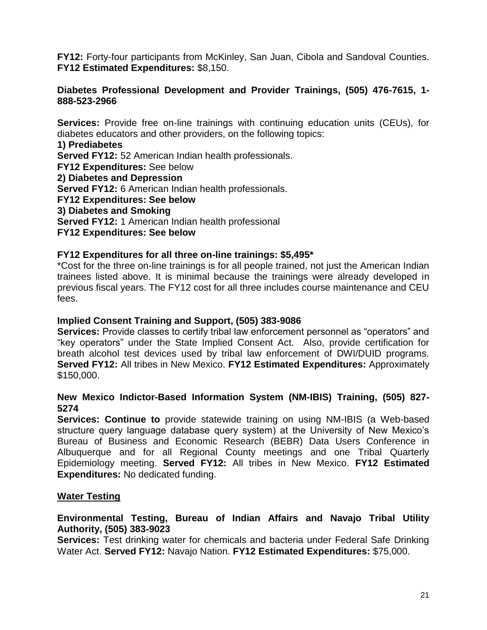**FY12:** Forty-four participants from McKinley, San Juan, Cibola and Sandoval Counties. **FY12 Estimated Expenditures:** \$8,150.

#### **Diabetes Professional Development and Provider Trainings, (505) 476-7615, 1- 888-523-2966**

**Services:** Provide free on-line trainings with continuing education units (CEUs), for diabetes educators and other providers, on the following topics:

**1) Prediabetes**

**Served FY12:** 52 American Indian health professionals. **FY12 Expenditures:** See below **2) Diabetes and Depression Served FY12:** 6 American Indian health professionals. **FY12 Expenditures: See below 3) Diabetes and Smoking Served FY12:** 1 American Indian health professional **FY12 Expenditures: See below**

#### **FY12 Expenditures for all three on-line trainings: \$5,495\***

\*Cost for the three on-line trainings is for all people trained, not just the American Indian trainees listed above. It is minimal because the trainings were already developed in previous fiscal years. The FY12 cost for all three includes course maintenance and CEU fees.

#### **Implied Consent Training and Support, (505) 383-9086**

**Services:** Provide classes to certify tribal law enforcement personnel as "operators" and "key operators" under the State Implied Consent Act. Also, provide certification for breath alcohol test devices used by tribal law enforcement of DWI/DUID programs. **Served FY12:** All tribes in New Mexico. **FY12 Estimated Expenditures:** Approximately \$150,000.

#### **New Mexico Indictor-Based Information System (NM-IBIS) Training, (505) 827- 5274**

**Services: Continue to** provide statewide training on using NM-IBIS (a Web-based structure query language database query system) at the University of New Mexico's Bureau of Business and Economic Research (BEBR) Data Users Conference in Albuquerque and for all Regional County meetings and one Tribal Quarterly Epidemiology meeting. **Served FY12:** All tribes in New Mexico. **FY12 Estimated Expenditures:** No dedicated funding.

#### **Water Testing**

#### **Environmental Testing, Bureau of Indian Affairs and Navajo Tribal Utility Authority, (505) 383-9023**

**Services:** Test drinking water for chemicals and bacteria under Federal Safe Drinking Water Act. **Served FY12:** Navajo Nation. **FY12 Estimated Expenditures:** \$75,000.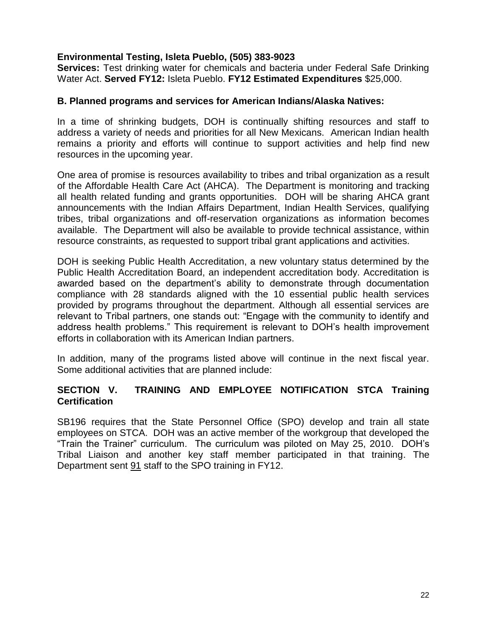## **Environmental Testing, Isleta Pueblo, (505) 383-9023**

**Services:** Test drinking water for chemicals and bacteria under Federal Safe Drinking Water Act. **Served FY12:** Isleta Pueblo. **FY12 Estimated Expenditures** \$25,000.

#### **B. Planned programs and services for American Indians/Alaska Natives:**

In a time of shrinking budgets, DOH is continually shifting resources and staff to address a variety of needs and priorities for all New Mexicans. American Indian health remains a priority and efforts will continue to support activities and help find new resources in the upcoming year.

One area of promise is resources availability to tribes and tribal organization as a result of the Affordable Health Care Act (AHCA). The Department is monitoring and tracking all health related funding and grants opportunities. DOH will be sharing AHCA grant announcements with the Indian Affairs Department, Indian Health Services, qualifying tribes, tribal organizations and off-reservation organizations as information becomes available. The Department will also be available to provide technical assistance, within resource constraints, as requested to support tribal grant applications and activities.

DOH is seeking Public Health Accreditation, a new voluntary status determined by the Public Health Accreditation Board, an independent accreditation body. Accreditation is awarded based on the department's ability to demonstrate through documentation compliance with 28 standards aligned with the 10 essential public health services provided by programs throughout the department. Although all essential services are relevant to Tribal partners, one stands out: "Engage with the community to identify and address health problems." This requirement is relevant to DOH's health improvement efforts in collaboration with its American Indian partners.

In addition, many of the programs listed above will continue in the next fiscal year. Some additional activities that are planned include:

# **SECTION V. TRAINING AND EMPLOYEE NOTIFICATION STCA Training Certification**

SB196 requires that the State Personnel Office (SPO) develop and train all state employees on STCA. DOH was an active member of the workgroup that developed the "Train the Trainer" curriculum. The curriculum was piloted on May 25, 2010. DOH's Tribal Liaison and another key staff member participated in that training. The Department sent 91 staff to the SPO training in FY12.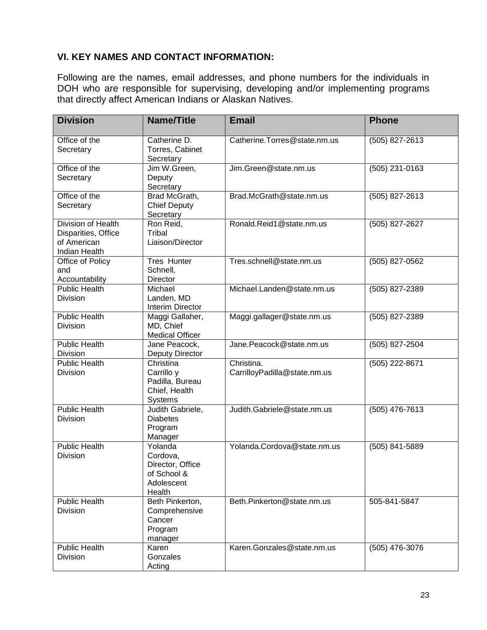# **VI. KEY NAMES AND CONTACT INFORMATION:**

Following are the names, email addresses, and phone numbers for the individuals in DOH who are responsible for supervising, developing and/or implementing programs that directly affect American Indians or Alaskan Natives.

| <b>Division</b>                                                           | <b>Name/Title</b>                                                              | <b>Email</b>                               | <b>Phone</b>     |  |
|---------------------------------------------------------------------------|--------------------------------------------------------------------------------|--------------------------------------------|------------------|--|
| Office of the<br>Secretary                                                | Catherine D.<br>Torres, Cabinet<br>Secretary                                   | Catherine.Torres@state.nm.us               | $(505)$ 827-2613 |  |
| Office of the<br>Secretary                                                | Jim W.Green,<br>Deputy<br>Secretary                                            | Jim.Green@state.nm.us                      | $(505)$ 231-0163 |  |
| Office of the<br>Secretary                                                | Brad McGrath,<br><b>Chief Deputy</b><br>Secretary                              | Brad.McGrath@state.nm.us                   | (505) 827-2613   |  |
| Division of Health<br>Disparities, Office<br>of American<br>Indian Health | Ron Reid,<br>Tribal<br>Liaison/Director                                        | Ronald.Reid1@state.nm.us                   | $(505)$ 827-2627 |  |
| Office of Policy<br>and<br>Accountability                                 | Tres Hunter<br>Schnell,<br>Director                                            | Tres.schnell@state.nm.us                   | (505) 827-0562   |  |
| <b>Public Health</b><br>Division                                          | Michael<br>Landen, MD<br>Interim Director                                      | Michael.Landen@state.nm.us                 | (505) 827-2389   |  |
| <b>Public Health</b><br>Division                                          | Maggi Gallaher,<br>MD, Chief<br><b>Medical Officer</b>                         | Maggi.gallager@state.nm.us                 | (505) 827-2389   |  |
| <b>Public Health</b><br><b>Division</b>                                   | Jane Peacock,<br><b>Deputy Director</b>                                        | Jane.Peacock@state.nm.us                   | (505) 827-2504   |  |
| <b>Public Health</b><br>Division                                          | Christina<br>Carrillo y<br>Padilla, Bureau<br>Chief, Health<br>Systems         | Christina.<br>CarrilloyPadilla@state.nm.us | (505) 222-8671   |  |
| Public Health<br>Division                                                 | Judith Gabriele,<br><b>Diabetes</b><br>Program<br>Manager                      | Judith.Gabriele@state.nm.us                | $(505)$ 476-7613 |  |
| <b>Public Health</b><br><b>Division</b>                                   | Yolanda<br>Cordova,<br>Director, Office<br>of School &<br>Adolescent<br>Health | Yolanda.Cordova@state.nm.us                | (505) 841-5889   |  |
| <b>Public Health</b><br>Division                                          | Beth Pinkerton,<br>Comprehensive<br>Cancer<br>Program<br>manager               | Beth.Pinkerton@state.nm.us                 | 505-841-5847     |  |
| <b>Public Health</b><br>Division                                          | Karen<br>Gonzales<br>Acting                                                    | Karen.Gonzales@state.nm.us                 | (505) 476-3076   |  |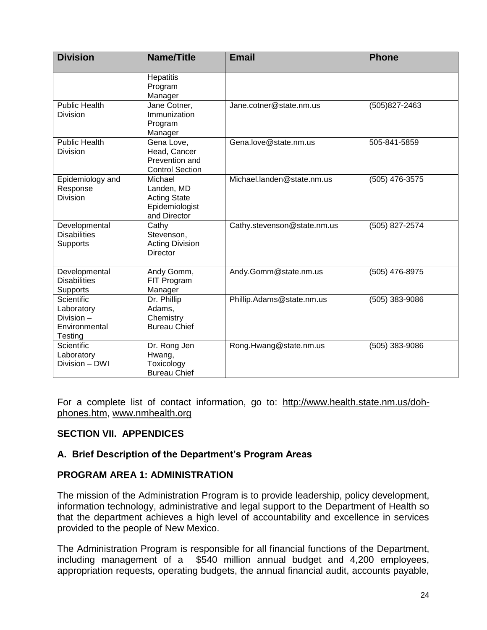| <b>Division</b>                                                   | Name/Title                                                                     | <b>Email</b>                | <b>Phone</b>   |
|-------------------------------------------------------------------|--------------------------------------------------------------------------------|-----------------------------|----------------|
|                                                                   | Hepatitis<br>Program<br>Manager                                                |                             |                |
| <b>Public Health</b><br><b>Division</b>                           | Jane Cotner,<br>Immunization<br>Program<br>Manager                             | Jane.cotner@state.nm.us     | (505)827-2463  |
| <b>Public Health</b><br><b>Division</b>                           | Gena Love,<br>Head, Cancer<br>Prevention and<br><b>Control Section</b>         | Gena.love@state.nm.us       | 505-841-5859   |
| Epidemiology and<br>Response<br>Division                          | Michael<br>Landen, MD<br><b>Acting State</b><br>Epidemiologist<br>and Director | Michael.landen@state.nm.us  | (505) 476-3575 |
| Developmental<br><b>Disabilities</b><br>Supports                  | Cathy<br>Stevenson,<br><b>Acting Division</b><br>Director                      | Cathy.stevenson@state.nm.us | (505) 827-2574 |
| Developmental<br><b>Disabilities</b><br>Supports                  | Andy Gomm,<br>FIT Program<br>Manager                                           | Andy.Gomm@state.nm.us       | (505) 476-8975 |
| Scientific<br>Laboratory<br>Division-<br>Environmental<br>Testing | Dr. Phillip<br>Adams,<br>Chemistry<br><b>Bureau Chief</b>                      | Phillip.Adams@state.nm.us   | (505) 383-9086 |
| <b>Scientific</b><br>Laboratory<br>Division - DWI                 | Dr. Rong Jen<br>Hwang,<br>Toxicology<br><b>Bureau Chief</b>                    | Rong.Hwang@state.nm.us      | (505) 383-9086 |

For a complete list of contact information, go to: [http://www.health.state.nm.us/doh](http://www.health.state.nm.us/doh-phones.htm)[phones.htm,](http://www.health.state.nm.us/doh-phones.htm) [www.nmhealth.org](http://www.nmhealth.org/)

# **SECTION VII. APPENDICES**

#### **A. Brief Description of the Department's Program Areas**

## **PROGRAM AREA 1: ADMINISTRATION**

The mission of the Administration Program is to provide leadership, policy development, information technology, administrative and legal support to the Department of Health so that the department achieves a high level of accountability and excellence in services provided to the people of New Mexico.

The Administration Program is responsible for all financial functions of the Department, including management of a \$540 million annual budget and 4,200 employees, appropriation requests, operating budgets, the annual financial audit, accounts payable,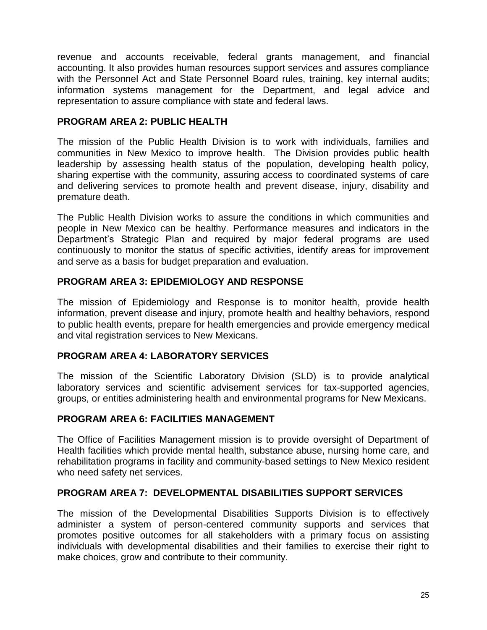revenue and accounts receivable, federal grants management, and financial accounting. It also provides human resources support services and assures compliance with the Personnel Act and State Personnel Board rules, training, key internal audits; information systems management for the Department, and legal advice and representation to assure compliance with state and federal laws.

# **PROGRAM AREA 2: PUBLIC HEALTH**

The mission of the Public Health Division is to work with individuals, families and communities in New Mexico to improve health. The Division provides public health leadership by assessing health status of the population, developing health policy, sharing expertise with the community, assuring access to coordinated systems of care and delivering services to promote health and prevent disease, injury, disability and premature death.

The Public Health Division works to assure the conditions in which communities and people in New Mexico can be healthy. Performance measures and indicators in the Department's Strategic Plan and required by major federal programs are used continuously to monitor the status of specific activities, identify areas for improvement and serve as a basis for budget preparation and evaluation.

# **PROGRAM AREA 3: EPIDEMIOLOGY AND RESPONSE**

The mission of Epidemiology and Response is to monitor health, provide health information, prevent disease and injury, promote health and healthy behaviors, respond to public health events, prepare for health emergencies and provide emergency medical and vital registration services to New Mexicans.

# **PROGRAM AREA 4: LABORATORY SERVICES**

The mission of the Scientific Laboratory Division (SLD) is to provide analytical laboratory services and scientific advisement services for tax-supported agencies, groups, or entities administering health and environmental programs for New Mexicans.

#### **PROGRAM AREA 6: FACILITIES MANAGEMENT**

The Office of Facilities Management mission is to provide oversight of Department of Health facilities which provide mental health, substance abuse, nursing home care, and rehabilitation programs in facility and community-based settings to New Mexico resident who need safety net services.

#### **PROGRAM AREA 7: DEVELOPMENTAL DISABILITIES SUPPORT SERVICES**

The mission of the Developmental Disabilities Supports Division is to effectively administer a system of person-centered community supports and services that promotes positive outcomes for all stakeholders with a primary focus on assisting individuals with developmental disabilities and their families to exercise their right to make choices, grow and contribute to their community.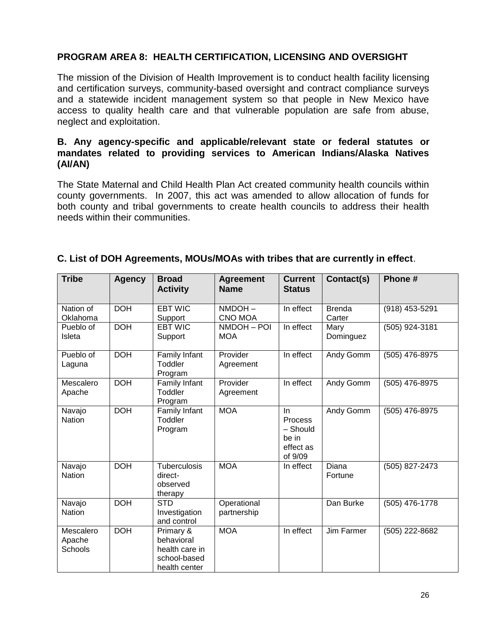# **PROGRAM AREA 8: HEALTH CERTIFICATION, LICENSING AND OVERSIGHT**

The mission of the Division of Health Improvement is to conduct health facility licensing and certification surveys, community-based oversight and contract compliance surveys and a statewide incident management system so that people in New Mexico have access to quality health care and that vulnerable population are safe from abuse, neglect and exploitation.

#### **B. Any agency-specific and applicable/relevant state or federal statutes or mandates related to providing services to American Indians/Alaska Natives (AI/AN)**

The State Maternal and Child Health Plan Act created community health councils within county governments. In 2007, this act was amended to allow allocation of funds for both county and tribal governments to create health councils to address their health needs within their communities.

| <b>Tribe</b>                   | <b>Agency</b> | <b>Broad</b><br><b>Activity</b>                                            | <b>Agreement</b><br><b>Name</b> | <b>Current</b><br><b>Status</b>                             | Contact(s)              | Phone#         |
|--------------------------------|---------------|----------------------------------------------------------------------------|---------------------------------|-------------------------------------------------------------|-------------------------|----------------|
| Nation of<br>Oklahoma          | <b>DOH</b>    | <b>EBT WIC</b><br>Support                                                  | NMDOH-<br><b>CNO MOA</b>        | In effect                                                   | <b>Brenda</b><br>Carter | (918) 453-5291 |
| Pueblo of<br>Isleta            | <b>DOH</b>    | <b>EBT WIC</b><br>Support                                                  | NMDOH-POI<br><b>MOA</b>         | In effect                                                   | Mary<br>Dominguez       | (505) 924-3181 |
| Pueblo of<br>Laguna            | <b>DOH</b>    | Family Infant<br>Toddler<br>Program                                        | Provider<br>Agreement           | In effect                                                   | Andy Gomm               | (505) 476-8975 |
| Mescalero<br>Apache            | <b>DOH</b>    | Family Infant<br>Toddler<br>Program                                        | Provider<br>Agreement           | In effect                                                   | Andy Gomm               | (505) 476-8975 |
| Navajo<br><b>Nation</b>        | <b>DOH</b>    | Family Infant<br>Toddler<br>Program                                        | <b>MOA</b>                      | -In<br>Process<br>- Should<br>be in<br>effect as<br>of 9/09 | Andy Gomm               | (505) 476-8975 |
| Navajo<br><b>Nation</b>        | <b>DOH</b>    | Tuberculosis<br>direct-<br>observed<br>therapy                             | <b>MOA</b>                      | In effect                                                   | Diana<br>Fortune        | (505) 827-2473 |
| Navajo<br><b>Nation</b>        | <b>DOH</b>    | <b>STD</b><br>Investigation<br>and control                                 | Operational<br>partnership      |                                                             | Dan Burke               | (505) 476-1778 |
| Mescalero<br>Apache<br>Schools | <b>DOH</b>    | Primary &<br>behavioral<br>health care in<br>school-based<br>health center | <b>MOA</b>                      | In effect                                                   | Jim Farmer              | (505) 222-8682 |

#### **C. List of DOH Agreements, MOUs/MOAs with tribes that are currently in effect**.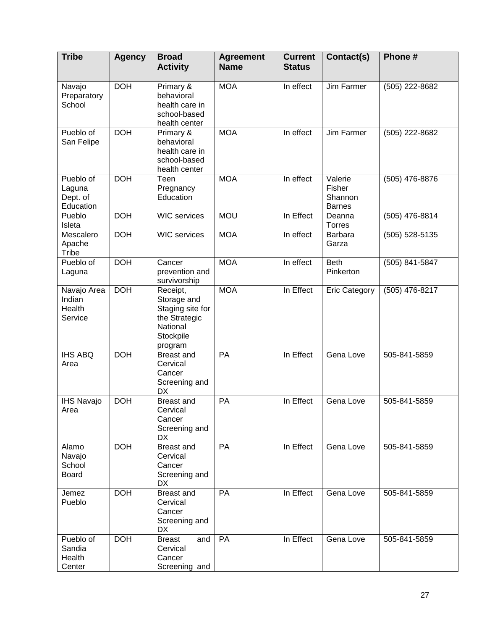| <b>Tribe</b>                                 | <b>Agency</b> | <b>Broad</b><br><b>Activity</b>                                                                  | <b>Agreement</b><br><b>Name</b> | <b>Current</b><br><b>Status</b> | Contact(s)                                    | Phone #        |
|----------------------------------------------|---------------|--------------------------------------------------------------------------------------------------|---------------------------------|---------------------------------|-----------------------------------------------|----------------|
| Navajo<br>Preparatory<br>School              | <b>DOH</b>    | Primary &<br>behavioral<br>health care in<br>school-based<br>health center                       | <b>MOA</b>                      | In effect                       | Jim Farmer                                    | (505) 222-8682 |
| Pueblo of<br>San Felipe                      | <b>DOH</b>    | Primary &<br>behavioral<br>health care in<br>school-based<br>health center                       | <b>MOA</b>                      | In effect                       | Jim Farmer                                    | (505) 222-8682 |
| Pueblo of<br>Laguna<br>Dept. of<br>Education | <b>DOH</b>    | Teen<br>Pregnancy<br>Education                                                                   | <b>MOA</b>                      | In effect                       | Valerie<br>Fisher<br>Shannon<br><b>Barnes</b> | (505) 476-8876 |
| Pueblo<br>Isleta                             | <b>DOH</b>    | <b>WIC</b> services                                                                              | <b>MOU</b>                      | In Effect                       | Deanna<br><b>Torres</b>                       | (505) 476-8814 |
| Mescalero<br>Apache<br>Tribe                 | <b>DOH</b>    | <b>WIC</b> services                                                                              | <b>MOA</b>                      | In effect                       | <b>Barbara</b><br>Garza                       | (505) 528-5135 |
| Pueblo of<br>Laguna                          | <b>DOH</b>    | Cancer<br>prevention and<br>survivorship                                                         | <b>MOA</b>                      | In effect                       | <b>Beth</b><br>Pinkerton                      | (505) 841-5847 |
| Navajo Area<br>Indian<br>Health<br>Service   | <b>DOH</b>    | Receipt,<br>Storage and<br>Staging site for<br>the Strategic<br>National<br>Stockpile<br>program | <b>MOA</b>                      | In Effect                       | <b>Eric Category</b>                          | (505) 476-8217 |
| <b>IHS ABQ</b><br>Area                       | <b>DOH</b>    | <b>Breast and</b><br>Cervical<br>Cancer<br>Screening and<br><b>DX</b>                            | <b>PA</b>                       | In Effect                       | Gena Love                                     | 505-841-5859   |
| <b>IHS Navajo</b><br>Area                    | <b>DOH</b>    | <b>Breast and</b><br>Cervical<br>Cancer<br>Screening and<br>DX                                   | PA                              | In Effect                       | Gena Love                                     | 505-841-5859   |
| Alamo<br>Navajo<br>School<br><b>Board</b>    | <b>DOH</b>    | <b>Breast</b> and<br>Cervical<br>Cancer<br>Screening and<br>DX                                   | PA                              | In Effect                       | Gena Love                                     | 505-841-5859   |
| Jemez<br>Pueblo                              | <b>DOH</b>    | <b>Breast and</b><br>Cervical<br>Cancer<br>Screening and<br><b>DX</b>                            | PA                              | In Effect                       | Gena Love                                     | 505-841-5859   |
| Pueblo of<br>Sandia<br>Health<br>Center      | <b>DOH</b>    | <b>Breast</b><br>and<br>Cervical<br>Cancer<br>Screening and                                      | PA                              | In Effect                       | Gena Love                                     | 505-841-5859   |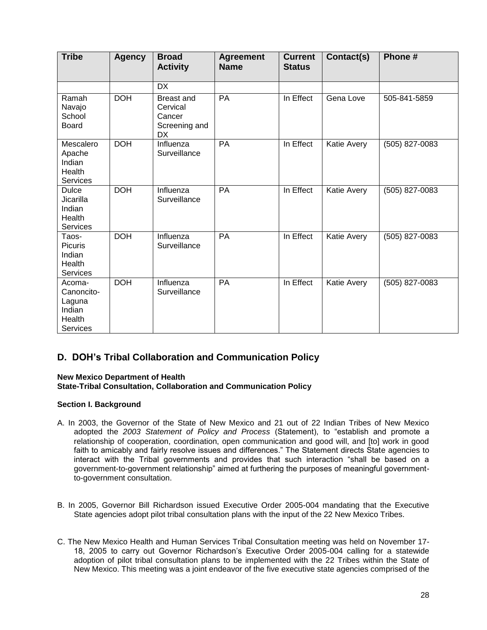| <b>Tribe</b>                                                          | <b>Agency</b> | <b>Broad</b><br><b>Activity</b>                                       | <b>Agreement</b><br><b>Name</b> | <b>Current</b><br><b>Status</b> | Contact(s)  | Phone #        |
|-----------------------------------------------------------------------|---------------|-----------------------------------------------------------------------|---------------------------------|---------------------------------|-------------|----------------|
|                                                                       |               | <b>DX</b>                                                             |                                 |                                 |             |                |
| Ramah<br>Navajo<br>School<br><b>Board</b>                             | <b>DOH</b>    | <b>Breast and</b><br>Cervical<br>Cancer<br>Screening and<br><b>DX</b> | PA                              | In Effect                       | Gena Love   | 505-841-5859   |
| Mescalero<br>Apache<br>Indian<br>Health<br><b>Services</b>            | <b>DOH</b>    | Influenza<br>Surveillance                                             | PA                              | In Effect                       | Katie Avery | (505) 827-0083 |
| <b>Dulce</b><br>Jicarilla<br>Indian<br>Health<br><b>Services</b>      | <b>DOH</b>    | Influenza<br>Surveillance                                             | PA                              | In Effect                       | Katie Avery | (505) 827-0083 |
| Taos-<br>Picuris<br>Indian<br>Health<br><b>Services</b>               | <b>DOH</b>    | Influenza<br>Surveillance                                             | PA                              | In Effect                       | Katie Avery | (505) 827-0083 |
| Acoma-<br>Canoncito-<br>Laguna<br>Indian<br>Health<br><b>Services</b> | <b>DOH</b>    | Influenza<br>Surveillance                                             | PA                              | In Effect                       | Katie Avery | (505) 827-0083 |

# **D. DOH's Tribal Collaboration and Communication Policy**

#### **New Mexico Department of Health**

#### **State-Tribal Consultation, Collaboration and Communication Policy**

#### **Section I. Background**

- A. In 2003, the Governor of the State of New Mexico and 21 out of 22 Indian Tribes of New Mexico adopted the *2003 Statement of Policy and Process* (Statement), to "establish and promote a relationship of cooperation, coordination, open communication and good will, and [to] work in good faith to amicably and fairly resolve issues and differences." The Statement directs State agencies to interact with the Tribal governments and provides that such interaction "shall be based on a government-to-government relationship" aimed at furthering the purposes of meaningful governmentto-government consultation.
- B. In 2005, Governor Bill Richardson issued Executive Order 2005-004 mandating that the Executive State agencies adopt pilot tribal consultation plans with the input of the 22 New Mexico Tribes.
- C. The New Mexico Health and Human Services Tribal Consultation meeting was held on November 17- 18, 2005 to carry out Governor Richardson's Executive Order 2005-004 calling for a statewide adoption of pilot tribal consultation plans to be implemented with the 22 Tribes within the State of New Mexico. This meeting was a joint endeavor of the five executive state agencies comprised of the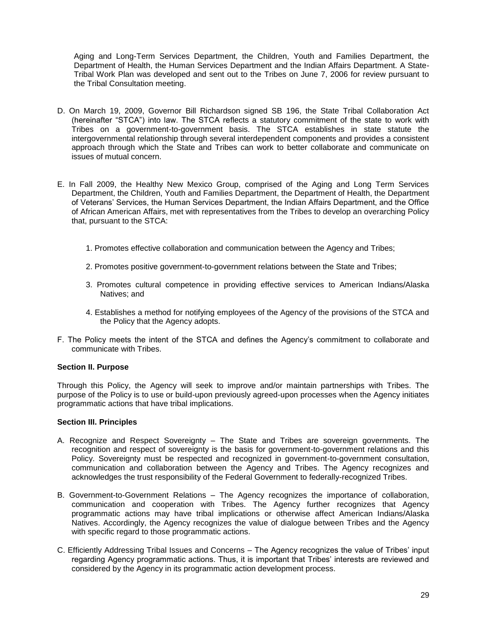Aging and Long-Term Services Department, the Children, Youth and Families Department, the Department of Health, the Human Services Department and the Indian Affairs Department. A State-Tribal Work Plan was developed and sent out to the Tribes on June 7, 2006 for review pursuant to the Tribal Consultation meeting.

- D. On March 19, 2009, Governor Bill Richardson signed SB 196, the State Tribal Collaboration Act (hereinafter "STCA") into law. The STCA reflects a statutory commitment of the state to work with Tribes on a government-to-government basis. The STCA establishes in state statute the intergovernmental relationship through several interdependent components and provides a consistent approach through which the State and Tribes can work to better collaborate and communicate on issues of mutual concern.
- E. In Fall 2009, the Healthy New Mexico Group, comprised of the Aging and Long Term Services Department, the Children, Youth and Families Department, the Department of Health, the Department of Veterans' Services, the Human Services Department, the Indian Affairs Department, and the Office of African American Affairs, met with representatives from the Tribes to develop an overarching Policy that, pursuant to the STCA:
	- 1. Promotes effective collaboration and communication between the Agency and Tribes;
	- 2. Promotes positive government-to-government relations between the State and Tribes;
	- 3. Promotes cultural competence in providing effective services to American Indians/Alaska Natives; and
	- 4. Establishes a method for notifying employees of the Agency of the provisions of the STCA and the Policy that the Agency adopts.
- F. The Policy meets the intent of the STCA and defines the Agency's commitment to collaborate and communicate with Tribes.

#### **Section II. Purpose**

Through this Policy, the Agency will seek to improve and/or maintain partnerships with Tribes. The purpose of the Policy is to use or build-upon previously agreed-upon processes when the Agency initiates programmatic actions that have tribal implications.

#### **Section III. Principles**

- A. Recognize and Respect Sovereignty The State and Tribes are sovereign governments. The recognition and respect of sovereignty is the basis for government-to-government relations and this Policy. Sovereignty must be respected and recognized in government-to-government consultation, communication and collaboration between the Agency and Tribes. The Agency recognizes and acknowledges the trust responsibility of the Federal Government to federally-recognized Tribes.
- B. Government-to-Government Relations The Agency recognizes the importance of collaboration, communication and cooperation with Tribes. The Agency further recognizes that Agency programmatic actions may have tribal implications or otherwise affect American Indians/Alaska Natives. Accordingly, the Agency recognizes the value of dialogue between Tribes and the Agency with specific regard to those programmatic actions.
- C. Efficiently Addressing Tribal Issues and Concerns The Agency recognizes the value of Tribes' input regarding Agency programmatic actions. Thus, it is important that Tribes' interests are reviewed and considered by the Agency in its programmatic action development process.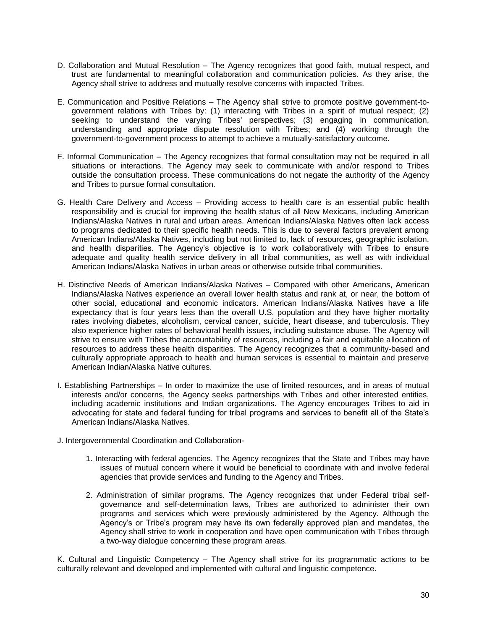- D. Collaboration and Mutual Resolution The Agency recognizes that good faith, mutual respect, and trust are fundamental to meaningful collaboration and communication policies. As they arise, the Agency shall strive to address and mutually resolve concerns with impacted Tribes.
- E. Communication and Positive Relations The Agency shall strive to promote positive government-togovernment relations with Tribes by: (1) interacting with Tribes in a spirit of mutual respect; (2) seeking to understand the varying Tribes' perspectives; (3) engaging in communication, understanding and appropriate dispute resolution with Tribes; and (4) working through the government-to-government process to attempt to achieve a mutually-satisfactory outcome.
- F. Informal Communication The Agency recognizes that formal consultation may not be required in all situations or interactions. The Agency may seek to communicate with and/or respond to Tribes outside the consultation process. These communications do not negate the authority of the Agency and Tribes to pursue formal consultation.
- G. Health Care Delivery and Access Providing access to health care is an essential public health responsibility and is crucial for improving the health status of all New Mexicans, including American Indians/Alaska Natives in rural and urban areas. American Indians/Alaska Natives often lack access to programs dedicated to their specific health needs. This is due to several factors prevalent among American Indians/Alaska Natives, including but not limited to, lack of resources, geographic isolation, and health disparities. The Agency's objective is to work collaboratively with Tribes to ensure adequate and quality health service delivery in all tribal communities, as well as with individual American Indians/Alaska Natives in urban areas or otherwise outside tribal communities.
- H. Distinctive Needs of American Indians/Alaska Natives Compared with other Americans, American Indians/Alaska Natives experience an overall lower health status and rank at, or near, the bottom of other social, educational and economic indicators. American Indians/Alaska Natives have a life expectancy that is four years less than the overall U.S. population and they have higher mortality rates involving diabetes, alcoholism, cervical cancer, suicide, heart disease, and tuberculosis. They also experience higher rates of behavioral health issues, including substance abuse. The Agency will strive to ensure with Tribes the accountability of resources, including a fair and equitable allocation of resources to address these health disparities. The Agency recognizes that a community-based and culturally appropriate approach to health and human services is essential to maintain and preserve American Indian/Alaska Native cultures.
- I. Establishing Partnerships In order to maximize the use of limited resources, and in areas of mutual interests and/or concerns, the Agency seeks partnerships with Tribes and other interested entities, including academic institutions and Indian organizations. The Agency encourages Tribes to aid in advocating for state and federal funding for tribal programs and services to benefit all of the State's American Indians/Alaska Natives.
- J. Intergovernmental Coordination and Collaboration-
	- 1. Interacting with federal agencies. The Agency recognizes that the State and Tribes may have issues of mutual concern where it would be beneficial to coordinate with and involve federal agencies that provide services and funding to the Agency and Tribes.
	- 2. Administration of similar programs. The Agency recognizes that under Federal tribal selfgovernance and self-determination laws, Tribes are authorized to administer their own programs and services which were previously administered by the Agency. Although the Agency's or Tribe's program may have its own federally approved plan and mandates, the Agency shall strive to work in cooperation and have open communication with Tribes through a two-way dialogue concerning these program areas.

K. Cultural and Linguistic Competency – The Agency shall strive for its programmatic actions to be culturally relevant and developed and implemented with cultural and linguistic competence.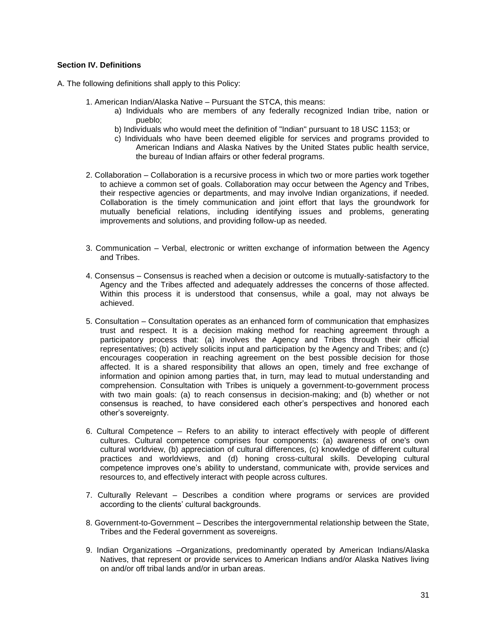#### **Section IV. Definitions**

A. The following definitions shall apply to this Policy:

- 1. American Indian/Alaska Native Pursuant the STCA, this means:
	- a) Individuals who are members of any federally recognized Indian tribe, nation or pueblo;
	- b) Individuals who would meet the definition of "Indian" pursuant to 18 USC 1153; or
	- c) Individuals who have been deemed eligible for services and programs provided to American Indians and Alaska Natives by the United States public health service, the bureau of Indian affairs or other federal programs.
- 2. Collaboration Collaboration is a recursive process in which two or more parties work together to achieve a common set of goals. Collaboration may occur between the Agency and Tribes, their respective agencies or departments, and may involve Indian organizations, if needed. Collaboration is the timely communication and joint effort that lays the groundwork for mutually beneficial relations, including identifying issues and problems, generating improvements and solutions, and providing follow-up as needed.
- 3. Communication Verbal, electronic or written exchange of information between the Agency and Tribes.
- 4. Consensus Consensus is reached when a decision or outcome is mutually-satisfactory to the Agency and the Tribes affected and adequately addresses the concerns of those affected. Within this process it is understood that consensus, while a goal, may not always be achieved.
- 5. Consultation Consultation operates as an enhanced form of communication that emphasizes trust and respect. It is a decision making method for reaching agreement through a participatory process that: (a) involves the Agency and Tribes through their official representatives; (b) actively solicits input and participation by the Agency and Tribes; and (c) encourages cooperation in reaching agreement on the best possible decision for those affected. It is a shared responsibility that allows an open, timely and free exchange of information and opinion among parties that, in turn, may lead to mutual understanding and comprehension. Consultation with Tribes is uniquely a government-to-government process with two main goals: (a) to reach consensus in decision-making; and (b) whether or not consensus is reached, to have considered each other's perspectives and honored each other's sovereignty.
- 6. Cultural Competence Refers to an ability to interact effectively with people of different cultures. Cultural competence comprises four components: (a) awareness of one's own cultural worldview, (b) appreciation of cultural differences, (c) knowledge of different cultural practices and worldviews, and (d) honing cross-cultural skills. Developing cultural competence improves one's ability to understand, communicate with, provide services and resources to, and effectively interact with people across cultures.
- 7. Culturally Relevant Describes a condition where programs or services are provided according to the clients' cultural backgrounds.
- 8. Government-to-Government Describes the intergovernmental relationship between the State, Tribes and the Federal government as sovereigns.
- 9. Indian Organizations –Organizations, predominantly operated by American Indians/Alaska Natives, that represent or provide services to American Indians and/or Alaska Natives living on and/or off tribal lands and/or in urban areas.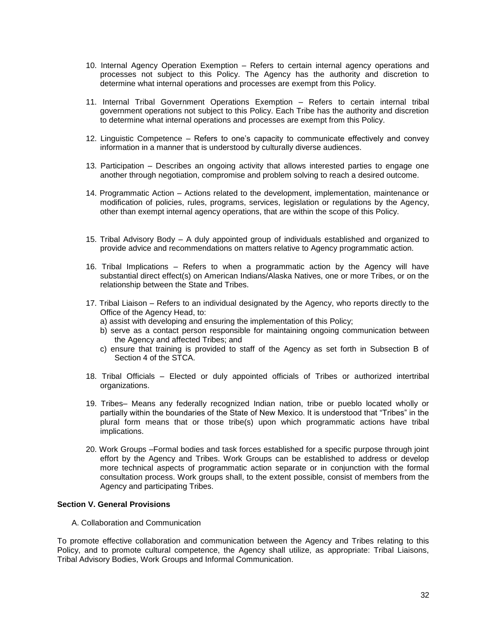- 10. Internal Agency Operation Exemption Refers to certain internal agency operations and processes not subject to this Policy. The Agency has the authority and discretion to determine what internal operations and processes are exempt from this Policy.
- 11. Internal Tribal Government Operations Exemption Refers to certain internal tribal government operations not subject to this Policy. Each Tribe has the authority and discretion to determine what internal operations and processes are exempt from this Policy.
- 12. Linguistic Competence Refers to one's capacity to communicate effectively and convey information in a manner that is understood by culturally diverse audiences.
- 13. Participation Describes an ongoing activity that allows interested parties to engage one another through negotiation, compromise and problem solving to reach a desired outcome.
- 14. Programmatic Action Actions related to the development, implementation, maintenance or modification of policies, rules, programs, services, legislation or regulations by the Agency, other than exempt internal agency operations, that are within the scope of this Policy.
- 15. Tribal Advisory Body A duly appointed group of individuals established and organized to provide advice and recommendations on matters relative to Agency programmatic action.
- 16. Tribal Implications Refers to when a programmatic action by the Agency will have substantial direct effect(s) on American Indians/Alaska Natives, one or more Tribes, or on the relationship between the State and Tribes.
- 17. Tribal Liaison Refers to an individual designated by the Agency, who reports directly to the Office of the Agency Head, to:
	- a) assist with developing and ensuring the implementation of this Policy;
	- b) serve as a contact person responsible for maintaining ongoing communication between the Agency and affected Tribes; and
	- c) ensure that training is provided to staff of the Agency as set forth in Subsection B of Section 4 of the STCA.
- 18. Tribal Officials Elected or duly appointed officials of Tribes or authorized intertribal organizations.
- 19. Tribes– Means any federally recognized Indian nation, tribe or pueblo located wholly or partially within the boundaries of the State of New Mexico. It is understood that "Tribes" in the plural form means that or those tribe(s) upon which programmatic actions have tribal implications.
- 20. Work Groups –Formal bodies and task forces established for a specific purpose through joint effort by the Agency and Tribes. Work Groups can be established to address or develop more technical aspects of programmatic action separate or in conjunction with the formal consultation process. Work groups shall, to the extent possible, consist of members from the Agency and participating Tribes.

#### **Section V. General Provisions**

A. Collaboration and Communication

To promote effective collaboration and communication between the Agency and Tribes relating to this Policy, and to promote cultural competence, the Agency shall utilize, as appropriate: Tribal Liaisons, Tribal Advisory Bodies, Work Groups and Informal Communication.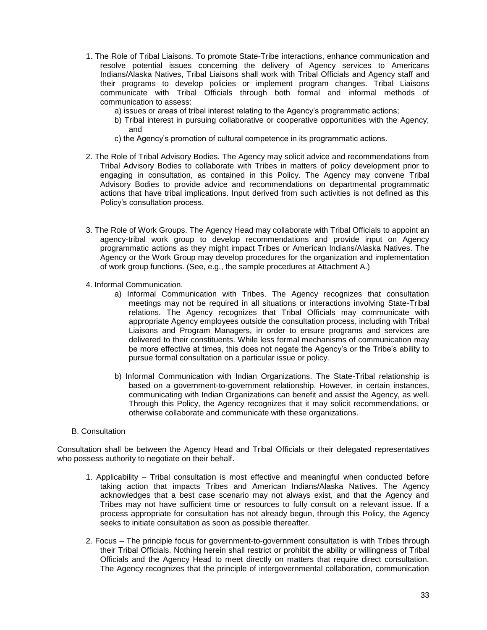- 1. The Role of Tribal Liaisons. To promote State-Tribe interactions, enhance communication and resolve potential issues concerning the delivery of Agency services to Americans Indians/Alaska Natives, Tribal Liaisons shall work with Tribal Officials and Agency staff and their programs to develop policies or implement program changes. Tribal Liaisons communicate with Tribal Officials through both formal and informal methods of communication to assess:
	- a) issues or areas of tribal interest relating to the Agency's programmatic actions;
	- b) Tribal interest in pursuing collaborative or cooperative opportunities with the Agency; and
	- c) the Agency's promotion of cultural competence in its programmatic actions.
- 2. The Role of Tribal Advisory Bodies. The Agency may solicit advice and recommendations from Tribal Advisory Bodies to collaborate with Tribes in matters of policy development prior to engaging in consultation, as contained in this Policy. The Agency may convene Tribal Advisory Bodies to provide advice and recommendations on departmental programmatic actions that have tribal implications. Input derived from such activities is not defined as this Policy's consultation process.
- 3. The Role of Work Groups. The Agency Head may collaborate with Tribal Officials to appoint an agency-tribal work group to develop recommendations and provide input on Agency programmatic actions as they might impact Tribes or American Indians/Alaska Natives. The Agency or the Work Group may develop procedures for the organization and implementation of work group functions. (See, e.g., the sample procedures at Attachment A.)
- 4. Informal Communication.
	- a) Informal Communication with Tribes. The Agency recognizes that consultation meetings may not be required in all situations or interactions involving State-Tribal relations. The Agency recognizes that Tribal Officials may communicate with appropriate Agency employees outside the consultation process, including with Tribal Liaisons and Program Managers, in order to ensure programs and services are delivered to their constituents. While less formal mechanisms of communication may be more effective at times, this does not negate the Agency's or the Tribe's ability to pursue formal consultation on a particular issue or policy.
	- b) Informal Communication with Indian Organizations. The State-Tribal relationship is based on a government-to-government relationship. However, in certain instances, communicating with Indian Organizations can benefit and assist the Agency, as well. Through this Policy, the Agency recognizes that it may solicit recommendations, or otherwise collaborate and communicate with these organizations.

#### B. Consultation

Consultation shall be between the Agency Head and Tribal Officials or their delegated representatives who possess authority to negotiate on their behalf.

- 1. Applicability Tribal consultation is most effective and meaningful when conducted before taking action that impacts Tribes and American Indians/Alaska Natives. The Agency acknowledges that a best case scenario may not always exist, and that the Agency and Tribes may not have sufficient time or resources to fully consult on a relevant issue. If a process appropriate for consultation has not already begun, through this Policy, the Agency seeks to initiate consultation as soon as possible thereafter.
- 2. Focus The principle focus for government-to-government consultation is with Tribes through their Tribal Officials. Nothing herein shall restrict or prohibit the ability or willingness of Tribal Officials and the Agency Head to meet directly on matters that require direct consultation. The Agency recognizes that the principle of intergovernmental collaboration, communication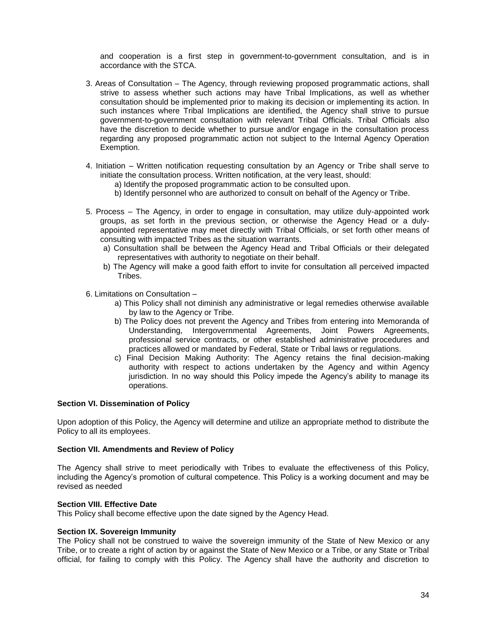and cooperation is a first step in government-to-government consultation, and is in accordance with the STCA.

- 3. Areas of Consultation The Agency, through reviewing proposed programmatic actions, shall strive to assess whether such actions may have Tribal Implications, as well as whether consultation should be implemented prior to making its decision or implementing its action. In such instances where Tribal Implications are identified, the Agency shall strive to pursue government-to-government consultation with relevant Tribal Officials. Tribal Officials also have the discretion to decide whether to pursue and/or engage in the consultation process regarding any proposed programmatic action not subject to the Internal Agency Operation Exemption.
- 4. Initiation Written notification requesting consultation by an Agency or Tribe shall serve to initiate the consultation process. Written notification, at the very least, should:
	- a) Identify the proposed programmatic action to be consulted upon.
	- b) Identify personnel who are authorized to consult on behalf of the Agency or Tribe.
- 5. Process The Agency, in order to engage in consultation, may utilize duly-appointed work groups, as set forth in the previous section, or otherwise the Agency Head or a dulyappointed representative may meet directly with Tribal Officials, or set forth other means of consulting with impacted Tribes as the situation warrants.
	- a) Consultation shall be between the Agency Head and Tribal Officials or their delegated representatives with authority to negotiate on their behalf.
	- b) The Agency will make a good faith effort to invite for consultation all perceived impacted Tribes.
- 6. Limitations on Consultation
	- a) This Policy shall not diminish any administrative or legal remedies otherwise available by law to the Agency or Tribe.
	- b) The Policy does not prevent the Agency and Tribes from entering into Memoranda of Understanding, Intergovernmental Agreements, Joint Powers Agreements, professional service contracts, or other established administrative procedures and practices allowed or mandated by Federal, State or Tribal laws or regulations.
	- c) Final Decision Making Authority: The Agency retains the final decision-making authority with respect to actions undertaken by the Agency and within Agency jurisdiction. In no way should this Policy impede the Agency's ability to manage its operations.

#### **Section VI. Dissemination of Policy**

Upon adoption of this Policy, the Agency will determine and utilize an appropriate method to distribute the Policy to all its employees.

#### **Section VII. Amendments and Review of Policy**

The Agency shall strive to meet periodically with Tribes to evaluate the effectiveness of this Policy, including the Agency's promotion of cultural competence. This Policy is a working document and may be revised as needed

#### **Section VIII. Effective Date**

This Policy shall become effective upon the date signed by the Agency Head.

#### **Section IX. Sovereign Immunity**

The Policy shall not be construed to waive the sovereign immunity of the State of New Mexico or any Tribe, or to create a right of action by or against the State of New Mexico or a Tribe, or any State or Tribal official, for failing to comply with this Policy. The Agency shall have the authority and discretion to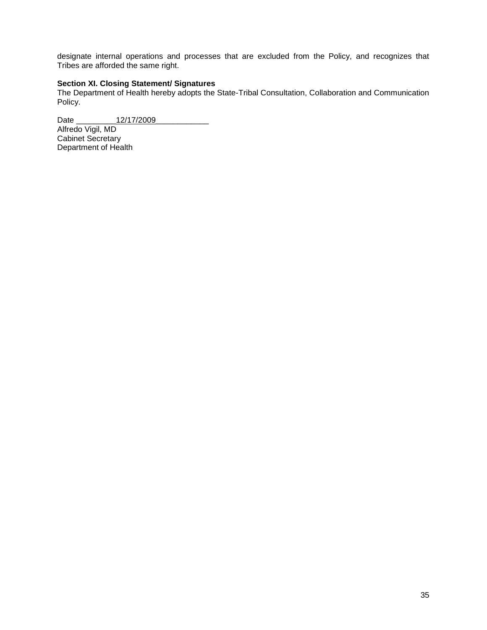designate internal operations and processes that are excluded from the Policy, and recognizes that Tribes are afforded the same right.

#### **Section XI. Closing Statement/ Signatures**

The Department of Health hereby adopts the State-Tribal Consultation, Collaboration and Communication Policy.

Date \_\_\_\_\_\_\_\_\_12/17/2009\_\_\_\_\_\_\_\_\_\_\_\_ Alfredo Vigil, MD Cabinet Secretary Department of Health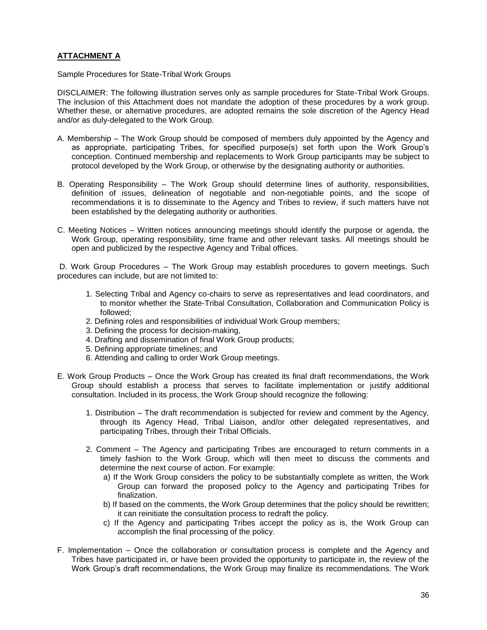#### **ATTACHMENT A**

Sample Procedures for State-Tribal Work Groups

DISCLAIMER: The following illustration serves only as sample procedures for State-Tribal Work Groups. The inclusion of this Attachment does not mandate the adoption of these procedures by a work group. Whether these, or alternative procedures, are adopted remains the sole discretion of the Agency Head and/or as duly-delegated to the Work Group.

- A. Membership The Work Group should be composed of members duly appointed by the Agency and as appropriate, participating Tribes, for specified purpose(s) set forth upon the Work Group's conception. Continued membership and replacements to Work Group participants may be subject to protocol developed by the Work Group, or otherwise by the designating authority or authorities.
- B. Operating Responsibility The Work Group should determine lines of authority, responsibilities, definition of issues, delineation of negotiable and non-negotiable points, and the scope of recommendations it is to disseminate to the Agency and Tribes to review, if such matters have not been established by the delegating authority or authorities.
- C. Meeting Notices Written notices announcing meetings should identify the purpose or agenda, the Work Group, operating responsibility, time frame and other relevant tasks. All meetings should be open and publicized by the respective Agency and Tribal offices.

D. Work Group Procedures – The Work Group may establish procedures to govern meetings. Such procedures can include, but are not limited to:

- 1. Selecting Tribal and Agency co-chairs to serve as representatives and lead coordinators, and to monitor whether the State-Tribal Consultation, Collaboration and Communication Policy is followed;
- 2. Defining roles and responsibilities of individual Work Group members;
- 3. Defining the process for decision-making,
- 4. Drafting and dissemination of final Work Group products;
- 5. Defining appropriate timelines; and
- 6. Attending and calling to order Work Group meetings.
- E. Work Group Products Once the Work Group has created its final draft recommendations, the Work Group should establish a process that serves to facilitate implementation or justify additional consultation. Included in its process, the Work Group should recognize the following:
	- 1. Distribution The draft recommendation is subjected for review and comment by the Agency, through its Agency Head, Tribal Liaison, and/or other delegated representatives, and participating Tribes, through their Tribal Officials.
	- 2. Comment The Agency and participating Tribes are encouraged to return comments in a timely fashion to the Work Group, which will then meet to discuss the comments and determine the next course of action. For example:
		- a) If the Work Group considers the policy to be substantially complete as written, the Work Group can forward the proposed policy to the Agency and participating Tribes for finalization.
		- b) If based on the comments, the Work Group determines that the policy should be rewritten; it can reinitiate the consultation process to redraft the policy.
		- c) If the Agency and participating Tribes accept the policy as is, the Work Group can accomplish the final processing of the policy.
- F. Implementation Once the collaboration or consultation process is complete and the Agency and Tribes have participated in, or have been provided the opportunity to participate in, the review of the Work Group's draft recommendations, the Work Group may finalize its recommendations. The Work